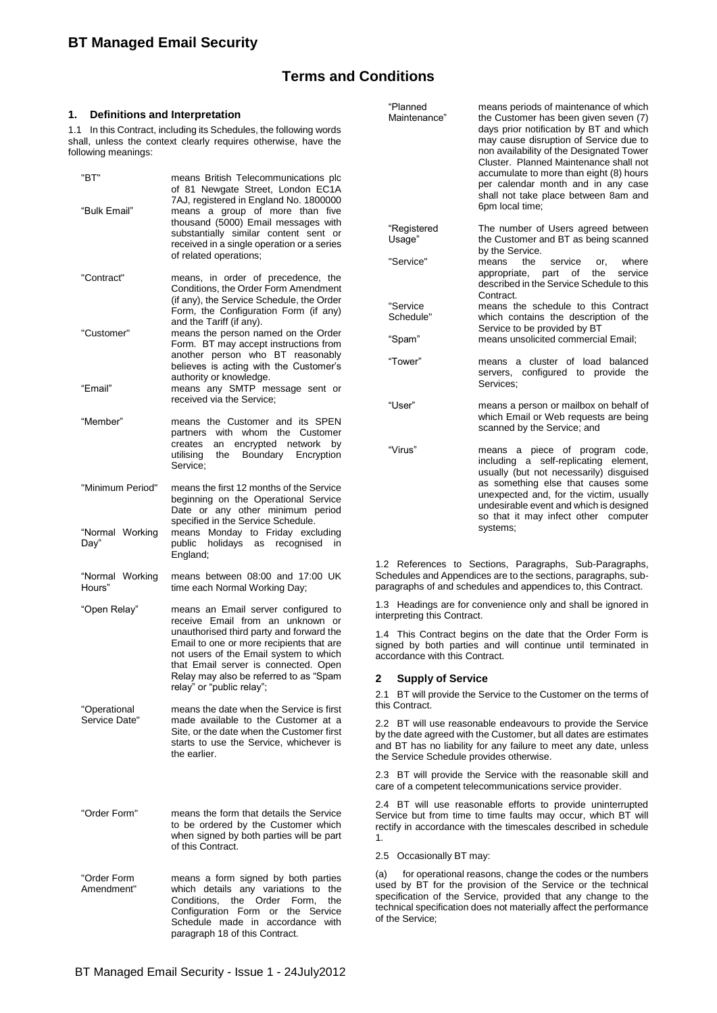# **Terms and Conditions**

#### **1. Definitions and Interpretation**

1.1 In this Contract, including its Schedules, the following words shall, unless the context clearly requires otherwise, have the following meanings:

| "BT"<br>"Bulk Email"          | means British Telecommunications plc<br>of 81 Newgate Street, London EC1A<br>7AJ, registered in England No. 1800000<br>means a group of more than five<br>thousand (5000) Email messages with                                                                                                                                                                                         |  |
|-------------------------------|---------------------------------------------------------------------------------------------------------------------------------------------------------------------------------------------------------------------------------------------------------------------------------------------------------------------------------------------------------------------------------------|--|
|                               | substantially similar content sent or<br>received in a single operation or a series<br>of related operations;                                                                                                                                                                                                                                                                         |  |
| "Contract"                    | means, in order of precedence, the<br>Conditions, the Order Form Amendment<br>(if any), the Service Schedule, the Order<br>Form, the Configuration Form (if any)<br>and the Tariff (if any).<br>means the person named on the Order<br>Form. BT may accept instructions from<br>another person who BT reasonably<br>believes is acting with the Customer's<br>authority or knowledge. |  |
| "Customer"                    |                                                                                                                                                                                                                                                                                                                                                                                       |  |
| "Email"                       | means any SMTP message sent or<br>received via the Service;                                                                                                                                                                                                                                                                                                                           |  |
| "Member"                      | means the Customer and its SPEN<br>partners with whom the Customer<br>creates an encrypted network by<br>utilising the Boundary Encryption<br>Service:                                                                                                                                                                                                                                |  |
| "Minimum Period"              | means the first 12 months of the Service<br>beginning on the Operational Service<br>Date or any other minimum period<br>specified in the Service Schedule.                                                                                                                                                                                                                            |  |
| "Normal Working<br>Day"       | means Monday to Friday excluding<br>public holidays as recognised in<br>England;                                                                                                                                                                                                                                                                                                      |  |
| "Normal Working<br>Hours"     | means between 08:00 and 17:00 UK<br>time each Normal Working Day;                                                                                                                                                                                                                                                                                                                     |  |
| "Open Relay"                  | means an Email server configured to<br>receive Email from an unknown or<br>unauthorised third party and forward the<br>Email to one or more recipients that are<br>not users of the Email system to which<br>that Email server is connected. Open<br>Relay may also be referred to as "Spam<br>relay" or "public relay";                                                              |  |
| "Operational<br>Service Date" | means the date when the Service is first<br>made available to the Customer at a<br>Site, or the date when the Customer first<br>starts to use the Service, whichever is<br>the earlier.                                                                                                                                                                                               |  |
| "Order Form"                  | means the form that details the Service<br>to be ordered by the Customer which<br>when signed by both parties will be part<br>of this Contract.                                                                                                                                                                                                                                       |  |
| "Order Form<br>Amendment"     | means a form signed by both parties<br>which details any variations to the<br>Conditions, the Order<br>Form,<br>the<br>Configuration Form or the Service<br>Schedule made in<br>accordance with<br>paragraph 18 of this Contract.                                                                                                                                                     |  |

| "Planned<br>Maintenance" | means periods of maintenance of which<br>the Customer has been given seven (7)<br>days prior notification by BT and which<br>may cause disruption of Service due to<br>non availability of the Designated Tower<br>Cluster. Planned Maintenance shall not<br>accumulate to more than eight (8) hours<br>per calendar month and in any case<br>shall not take place between 8am and<br>6pm local time; |  |
|--------------------------|-------------------------------------------------------------------------------------------------------------------------------------------------------------------------------------------------------------------------------------------------------------------------------------------------------------------------------------------------------------------------------------------------------|--|
| "Registered<br>Usage"    | The number of Users agreed between<br>the Customer and BT as being scanned<br>by the Service.                                                                                                                                                                                                                                                                                                         |  |
| "Service"                | means<br>the<br>service<br>or.<br>where<br>part of<br>service<br>appropriate,<br>the<br>described in the Service Schedule to this<br>Contract.                                                                                                                                                                                                                                                        |  |
| "Service<br>Schedule"    | means the schedule to this Contract<br>which contains the description of the<br>Service to be provided by BT                                                                                                                                                                                                                                                                                          |  |
| "Spam"                   | means unsolicited commercial Email;                                                                                                                                                                                                                                                                                                                                                                   |  |
| "Tower"                  | a cluster of load balanced<br>means<br>servers, configured to provide the<br>Services:                                                                                                                                                                                                                                                                                                                |  |
| "User"                   | means a person or mailbox on behalf of<br>which Email or Web requests are being<br>scanned by the Service; and                                                                                                                                                                                                                                                                                        |  |
| "Virus"                  | means a piece of program code,<br>including a self-replicating element,<br>usually (but not necessarily) disguised<br>as something else that causes some<br>unexpected and, for the victim, usually<br>undesirable event and which is designed<br>so that it may infect other computer<br>systems:                                                                                                    |  |

1.2 References to Sections, Paragraphs, Sub-Paragraphs, Schedules and Appendices are to the sections, paragraphs, subparagraphs of and schedules and appendices to, this Contract.

1.3 Headings are for convenience only and shall be ignored in interpreting this Contract.

1.4 This Contract begins on the date that the Order Form is signed by both parties and will continue until terminated in accordance with this Contract.

#### **2 Supply of Service**

2.1 BT will provide the Service to the Customer on the terms of this Contract.

2.2 BT will use reasonable endeavours to provide the Service by the date agreed with the Customer, but all dates are estimates and BT has no liability for any failure to meet any date, unless the Service Schedule provides otherwise.

2.3 BT will provide the Service with the reasonable skill and care of a competent telecommunications service provider.

2.4 BT will use reasonable efforts to provide uninterrupted Service but from time to time faults may occur, which BT will rectify in accordance with the timescales described in schedule 1.

#### 2.5 Occasionally BT may:

(a) for operational reasons, change the codes or the numbers used by BT for the provision of the Service or the technical specification of the Service, provided that any change to the technical specification does not materially affect the performance of the Service;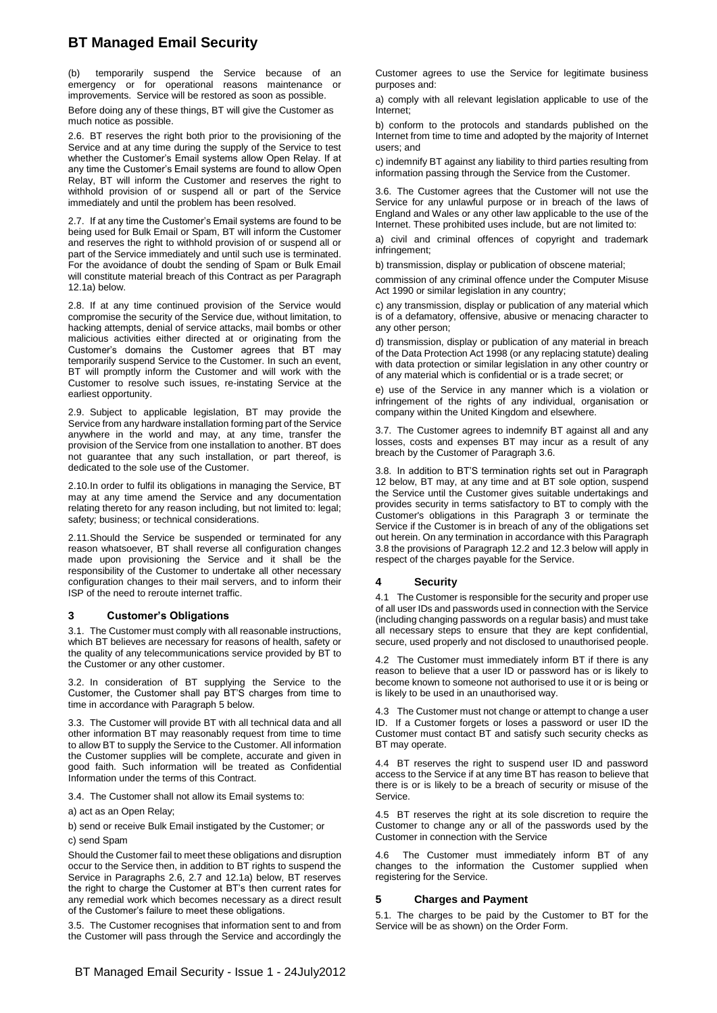temporarily suspend the Service because of an emergency or for operational reasons maintenance or improvements. Service will be restored as soon as possible.

Before doing any of these things, BT will give the Customer as much notice as possible.

2.6. BT reserves the right both prior to the provisioning of the Service and at any time during the supply of the Service to test whether the Customer's Email systems allow Open Relay. If at any time the Customer's Email systems are found to allow Open Relay, BT will inform the Customer and reserves the right to withhold provision of or suspend all or part of the Service immediately and until the problem has been resolved.

2.7. If at any time the Customer's Email systems are found to be being used for Bulk Email or Spam, BT will inform the Customer and reserves the right to withhold provision of or suspend all or part of the Service immediately and until such use is terminated. For the avoidance of doubt the sending of Spam or Bulk Email will constitute material breach of this Contract as per Paragraph 12.1a) below.

2.8. If at any time continued provision of the Service would compromise the security of the Service due, without limitation, to hacking attempts, denial of service attacks, mail bombs or other malicious activities either directed at or originating from the Customer's domains the Customer agrees that BT may temporarily suspend Service to the Customer. In such an event, BT will promptly inform the Customer and will work with the Customer to resolve such issues, re-instating Service at the earliest opportunity.

2.9. Subject to applicable legislation, BT may provide the Service from any hardware installation forming part of the Service anywhere in the world and may, at any time, transfer the provision of the Service from one installation to another. BT does not guarantee that any such installation, or part thereof, is dedicated to the sole use of the Customer.

2.10.In order to fulfil its obligations in managing the Service, BT may at any time amend the Service and any documentation relating thereto for any reason including, but not limited to: legal; safety; business; or technical considerations.

2.11.Should the Service be suspended or terminated for any reason whatsoever, BT shall reverse all configuration changes made upon provisioning the Service and it shall be the responsibility of the Customer to undertake all other necessary configuration changes to their mail servers, and to inform their ISP of the need to reroute internet traffic.

#### <span id="page-1-0"></span>**3 Customer's Obligations**

3.1. The Customer must comply with all reasonable instructions, which BT believes are necessary for reasons of health, safety or the quality of any telecommunications service provided by BT to the Customer or any other customer.

3.2. In consideration of BT supplying the Service to the Customer, the Customer shall pay BT'S charges from time to time in accordance with Paragraph 5 below.

3.3. The Customer will provide BT with all technical data and all other information BT may reasonably request from time to time to allow BT to supply the Service to the Customer. All information the Customer supplies will be complete, accurate and given in good faith. Such information will be treated as Confidential Information under the terms of this Contract.

3.4. The Customer shall not allow its Email systems to:

a) act as an Open Relay;

b) send or receive Bulk Email instigated by the Customer; or

c) send Spam

Should the Customer fail to meet these obligations and disruption occur to the Service then, in addition to BT rights to suspend the Service in Paragraphs 2.6, 2.7 and 12.1a) below, BT reserves the right to charge the Customer at BT's then current rates for any remedial work which becomes necessary as a direct result of the Customer's failure to meet these obligations.

3.5. The Customer recognises that information sent to and from the Customer will pass through the Service and accordingly the

Customer agrees to use the Service for legitimate business purposes and:

a) comply with all relevant legislation applicable to use of the Internet;

b) conform to the protocols and standards published on the Internet from time to time and adopted by the majority of Internet users; and

c) indemnify BT against any liability to third parties resulting from information passing through the Service from the Customer.

3.6. The Customer agrees that the Customer will not use the Service for any unlawful purpose or in breach of the laws of England and Wales or any other law applicable to the use of the Internet. These prohibited uses include, but are not limited to:

a) civil and criminal offences of copyright and trademark infringement;

b) transmission, display or publication of obscene material;

commission of any criminal offence under the Computer Misuse Act 1990 or similar legislation in any country;

c) any transmission, display or publication of any material which is of a defamatory, offensive, abusive or menacing character to any other person;

d) transmission, display or publication of any material in breach of the Data Protection Act 1998 (or any replacing statute) dealing with data protection or similar legislation in any other country or of any material which is confidential or is a trade secret; or

e) use of the Service in any manner which is a violation or infringement of the rights of any individual, organisation or company within the United Kingdom and elsewhere.

3.7. The Customer agrees to indemnify BT against all and any losses, costs and expenses BT may incur as a result of any breach by the Customer of Paragraph 3.6.

3.8. In addition to BT'S termination rights set out in Paragraph 12 below, BT may, at any time and at BT sole option, suspend the Service until the Customer gives suitable undertakings and provides security in terms satisfactory to BT to comply with the Customer's obligations in this Paragraph [3](#page-1-0) or terminate the Service if the Customer is in breach of any of the obligations set out herein. On any termination in accordance with this Paragraph 3.8 the provisions of Paragraph 12.2 and 12.3 below will apply in respect of the charges payable for the Service.

#### **4 Security**

4.1 The Customer is responsible for the security and proper use of all user IDs and passwords used in connection with the Service (including changing passwords on a regular basis) and must take all necessary steps to ensure that they are kept confidential, secure, used properly and not disclosed to unauthorised people.

4.2 The Customer must immediately inform BT if there is any reason to believe that a user ID or password has or is likely to become known to someone not authorised to use it or is being or is likely to be used in an unauthorised way.

4.3 The Customer must not change or attempt to change a user ID. If a Customer forgets or loses a password or user ID the Customer must contact BT and satisfy such security checks as BT may operate.

4.4 BT reserves the right to suspend user ID and password access to the Service if at any time BT has reason to believe that there is or is likely to be a breach of security or misuse of the Service.

4.5 BT reserves the right at its sole discretion to require the Customer to change any or all of the passwords used by the Customer in connection with the Service

4.6 The Customer must immediately inform BT of any changes to the information the Customer supplied when registering for the Service.

#### **5 Charges and Payment**

5.1. The charges to be paid by the Customer to BT for the Service will be as shown) on the Order Form.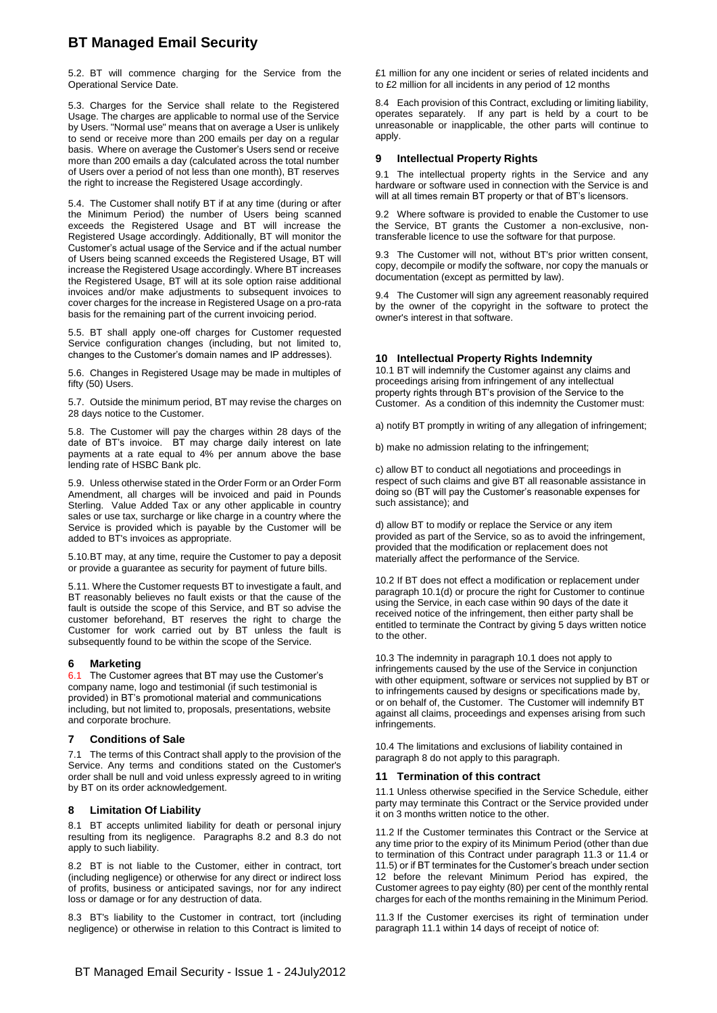5.2. BT will commence charging for the Service from the Operational Service Date.

5.3. Charges for the Service shall relate to the Registered Usage. The charges are applicable to normal use of the Service by Users. "Normal use" means that on average a User is unlikely to send or receive more than 200 emails per day on a regular basis. Where on average the Customer's Users send or receive more than 200 emails a day (calculated across the total number of Users over a period of not less than one month), BT reserves the right to increase the Registered Usage accordingly.

5.4. The Customer shall notify BT if at any time (during or after the Minimum Period) the number of Users being scanned exceeds the Registered Usage and BT will increase the Registered Usage accordingly. Additionally, BT will monitor the Customer's actual usage of the Service and if the actual number of Users being scanned exceeds the Registered Usage, BT will increase the Registered Usage accordingly. Where BT increases the Registered Usage, BT will at its sole option raise additional invoices and/or make adjustments to subsequent invoices to cover charges for the increase in Registered Usage on a pro-rata basis for the remaining part of the current invoicing period.

5.5. BT shall apply one-off charges for Customer requested Service configuration changes (including, but not limited to, changes to the Customer's domain names and IP addresses).

5.6. Changes in Registered Usage may be made in multiples of fifty (50) Users.

5.7. Outside the minimum period, BT may revise the charges on 28 days notice to the Customer.

5.8. The Customer will pay the charges within 28 days of the date of BT's invoice. BT may charge daily interest on late payments at a rate equal to 4% per annum above the base lending rate of HSBC Bank plc.

5.9. Unless otherwise stated in the Order Form or an Order Form Amendment, all charges will be invoiced and paid in Pounds Sterling. Value Added Tax or any other applicable in country sales or use tax, surcharge or like charge in a country where the Service is provided which is payable by the Customer will be added to BT's invoices as appropriate.

5.10.BT may, at any time, require the Customer to pay a deposit or provide a guarantee as security for payment of future bills.

5.11. Where the Customer requests BT to investigate a fault, and BT reasonably believes no fault exists or that the cause of the fault is outside the scope of this Service, and BT so advise the customer beforehand, BT reserves the right to charge the Customer for work carried out by BT unless the fault is subsequently found to be within the scope of the Service.

#### **6 Marketing**

6.1 The Customer agrees that BT may use the Customer's company name, logo and testimonial (if such testimonial is provided) in BT's promotional material and communications including, but not limited to, proposals, presentations, website and corporate brochure.

#### **7 Conditions of Sale**

7.1 The terms of this Contract shall apply to the provision of the Service. Any terms and conditions stated on the Customer's order shall be null and void unless expressly agreed to in writing by BT on its order acknowledgement.

#### **8 Limitation Of Liability**

8.1 BT accepts unlimited liability for death or personal injury resulting from its negligence. Paragraphs 8.2 and 8.3 do not apply to such liability.

8.2 BT is not liable to the Customer, either in contract, tort (including negligence) or otherwise for any direct or indirect loss of profits, business or anticipated savings, nor for any indirect loss or damage or for any destruction of data.

8.3 BT's liability to the Customer in contract, tort (including negligence) or otherwise in relation to this Contract is limited to £1 million for any one incident or series of related incidents and to £2 million for all incidents in any period of 12 months

8.4 Each provision of this Contract, excluding or limiting liability, operates separately. If any part is held by a court to be unreasonable or inapplicable, the other parts will continue to apply.

#### **9 Intellectual Property Rights**

9.1 The intellectual property rights in the Service and any hardware or software used in connection with the Service is and will at all times remain BT property or that of BT's licensors.

9.2 Where software is provided to enable the Customer to use the Service, BT grants the Customer a non-exclusive, nontransferable licence to use the software for that purpose.

9.3 The Customer will not, without BT's prior written consent, copy, decompile or modify the software, nor copy the manuals or documentation (except as permitted by law).

9.4 The Customer will sign any agreement reasonably required by the owner of the copyright in the software to protect the owner's interest in that software.

## **10 Intellectual Property Rights Indemnity**

10.1 BT will indemnify the Customer against any claims and proceedings arising from infringement of any intellectual property rights through BT's provision of the Service to the Customer. As a condition of this indemnity the Customer must:

a) notify BT promptly in writing of any allegation of infringement;

b) make no admission relating to the infringement;

c) allow BT to conduct all negotiations and proceedings in respect of such claims and give BT all reasonable assistance in doing so (BT will pay the Customer's reasonable expenses for such assistance); and

d) allow BT to modify or replace the Service or any item provided as part of the Service, so as to avoid the infringement, provided that the modification or replacement does not materially affect the performance of the Service.

10.2 If BT does not effect a modification or replacement under paragraph 10.1(d) or procure the right for Customer to continue using the Service, in each case within 90 days of the date it received notice of the infringement, then either party shall be entitled to terminate the Contract by giving 5 days written notice to the other.

10.3 The indemnity in paragraph 10.1 does not apply to infringements caused by the use of the Service in conjunction with other equipment, software or services not supplied by BT or to infringements caused by designs or specifications made by, or on behalf of, the Customer. The Customer will indemnify BT against all claims, proceedings and expenses arising from such infringements.

10.4 The limitations and exclusions of liability contained in paragraph 8 do not apply to this paragraph.

#### **11 Termination of this contract**

11.1 Unless otherwise specified in the Service Schedule, either party may terminate this Contract or the Service provided under it on 3 months written notice to the other.

11.2 If the Customer terminates this Contract or the Service at any time prior to the expiry of its Minimum Period (other than due to termination of this Contract under paragraph 11.3 or 11.4 or 11.5) or if BT terminates for the Customer's breach under section 12 before the relevant Minimum Period has expired, the Customer agrees to pay eighty (80) per cent of the monthly rental charges for each of the months remaining in the Minimum Period.

11.3 If the Customer exercises its right of termination under paragraph 11.1 within 14 days of receipt of notice of: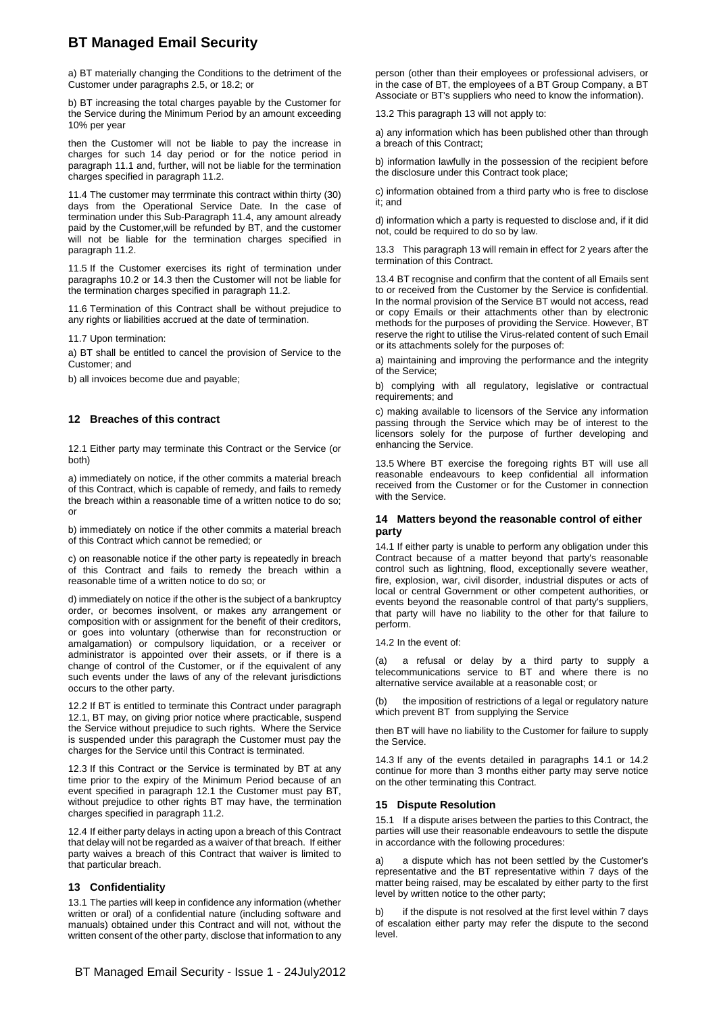a) BT materially changing the Conditions to the detriment of the Customer under paragraphs 2.5, or 18.2; or

b) BT increasing the total charges payable by the Customer for the Service during the Minimum Period by an amount exceeding 10% per year

then the Customer will not be liable to pay the increase in charges for such 14 day period or for the notice period in paragraph 11.1 and, further, will not be liable for the termination charges specified in paragraph 11.2.

11.4 The customer may terrminate this contract within thirty (30) days from the Operational Service Date. In the case of termination under this Sub-Paragraph 11.4, any amount already paid by the Customer,will be refunded by BT, and the customer will not be liable for the termination charges specified in paragraph 11.2.

11.5 If the Customer exercises its right of termination under paragraphs 10.2 or 14.3 then the Customer will not be liable for the termination charges specified in paragraph 11.2.

11.6 Termination of this Contract shall be without prejudice to any rights or liabilities accrued at the date of termination.

11.7 Upon termination:

a) BT shall be entitled to cancel the provision of Service to the Customer; and

b) all invoices become due and payable;

#### **12 Breaches of this contract**

12.1 Either party may terminate this Contract or the Service (or both)

a) immediately on notice, if the other commits a material breach of this Contract, which is capable of remedy, and fails to remedy the breach within a reasonable time of a written notice to do so; or

b) immediately on notice if the other commits a material breach of this Contract which cannot be remedied; or

c) on reasonable notice if the other party is repeatedly in breach of this Contract and fails to remedy the breach within a reasonable time of a written notice to do so; or

d) immediately on notice if the other is the subject of a bankruptcy order, or becomes insolvent, or makes any arrangement or composition with or assignment for the benefit of their creditors, or goes into voluntary (otherwise than for reconstruction or amalgamation) or compulsory liquidation, or a receiver or administrator is appointed over their assets, or if there is a change of control of the Customer, or if the equivalent of any such events under the laws of any of the relevant jurisdictions occurs to the other party.

12.2 If BT is entitled to terminate this Contract under paragraph 12.1, BT may, on giving prior notice where practicable, suspend the Service without prejudice to such rights. Where the Service is suspended under this paragraph the Customer must pay the charges for the Service until this Contract is terminated.

12.3 If this Contract or the Service is terminated by BT at any time prior to the expiry of the Minimum Period because of an event specified in paragraph 12.1 the Customer must pay BT, without prejudice to other rights BT may have, the termination charges specified in paragraph 11.2.

12.4 If either party delays in acting upon a breach of this Contract that delay will not be regarded as a waiver of that breach. If either party waives a breach of this Contract that waiver is limited to that particular breach.

#### **13 Confidentiality**

13.1 The parties will keep in confidence any information (whether written or oral) of a confidential nature (including software and manuals) obtained under this Contract and will not, without the written consent of the other party, disclose that information to any person (other than their employees or professional advisers, or in the case of BT, the employees of a BT Group Company, a BT Associate or BT's suppliers who need to know the information).

13.2 This paragraph 13 will not apply to:

a) any information which has been published other than through a breach of this Contract;

b) information lawfully in the possession of the recipient before the disclosure under this Contract took place;

c) information obtained from a third party who is free to disclose it; and

d) information which a party is requested to disclose and, if it did not, could be required to do so by law.

13.3 This paragraph 13 will remain in effect for 2 years after the termination of this Contract.

13.4 BT recognise and confirm that the content of all Emails sent to or received from the Customer by the Service is confidential. In the normal provision of the Service BT would not access, read or copy Emails or their attachments other than by electronic methods for the purposes of providing the Service. However, BT reserve the right to utilise the Virus-related content of such Email or its attachments solely for the purposes of:

a) maintaining and improving the performance and the integrity of the Service;

b) complying with all regulatory, legislative or contractual requirements; and

c) making available to licensors of the Service any information passing through the Service which may be of interest to the licensors solely for the purpose of further developing and enhancing the Service.

13.5 Where BT exercise the foregoing rights BT will use all reasonable endeavours to keep confidential all information received from the Customer or for the Customer in connection with the Service.

#### **14 Matters beyond the reasonable control of either party**

14.1 If either party is unable to perform any obligation under this Contract because of a matter beyond that party's reasonable control such as lightning, flood, exceptionally severe weather, fire, explosion, war, civil disorder, industrial disputes or acts of local or central Government or other competent authorities, or events beyond the reasonable control of that party's suppliers, that party will have no liability to the other for that failure to perform.

14.2 In the event of:

(a) a refusal or delay by a third party to supply a telecommunications service to BT and where there is no alternative service available at a reasonable cost; or

the imposition of restrictions of a legal or regulatory nature which prevent BT from supplying the Service

then BT will have no liability to the Customer for failure to supply the Service.

14.3 If any of the events detailed in paragraphs 14.1 or 14.2 continue for more than 3 months either party may serve notice on the other terminating this Contract.

#### **15 Dispute Resolution**

15.1 If a dispute arises between the parties to this Contract, the parties will use their reasonable endeavours to settle the dispute in accordance with the following procedures:

a) a dispute which has not been settled by the Customer's representative and the BT representative within 7 days of the matter being raised, may be escalated by either party to the first level by written notice to the other party;

b) if the dispute is not resolved at the first level within 7 days of escalation either party may refer the dispute to the second level.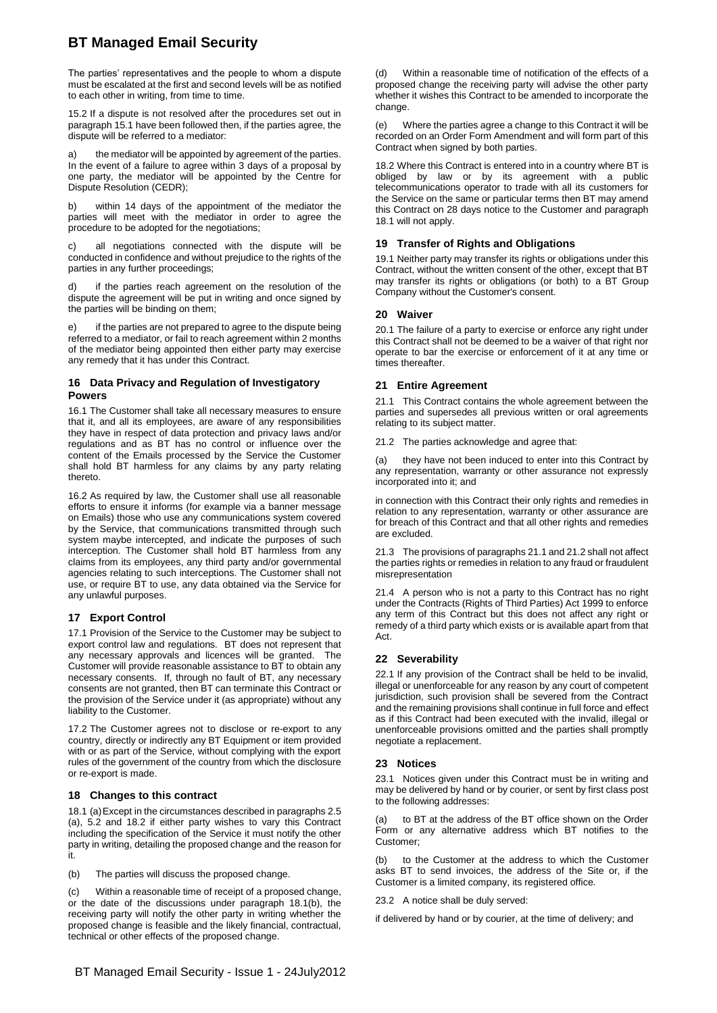The parties' representatives and the people to whom a dispute must be escalated at the first and second levels will be as notified to each other in writing, from time to time.

15.2 If a dispute is not resolved after the procedures set out in paragraph 15.1 have been followed then, if the parties agree, the dispute will be referred to a mediator:

the mediator will be appointed by agreement of the parties. In the event of a failure to agree within 3 days of a proposal by one party, the mediator will be appointed by the Centre for Dispute Resolution (CEDR);

b) within 14 days of the appointment of the mediator the parties will meet with the mediator in order to agree the procedure to be adopted for the negotiations;

all negotiations connected with the dispute will be conducted in confidence and without prejudice to the rights of the parties in any further proceedings;

if the parties reach agreement on the resolution of the dispute the agreement will be put in writing and once signed by the parties will be binding on them;

e) if the parties are not prepared to agree to the dispute being referred to a mediator, or fail to reach agreement within 2 months of the mediator being appointed then either party may exercise any remedy that it has under this Contract.

#### **16 Data Privacy and Regulation of Investigatory Powers**

16.1 The Customer shall take all necessary measures to ensure that it, and all its employees, are aware of any responsibilities they have in respect of data protection and privacy laws and/or regulations and as BT has no control or influence over the content of the Emails processed by the Service the Customer shall hold BT harmless for any claims by any party relating thereto.

16.2 As required by law, the Customer shall use all reasonable efforts to ensure it informs (for example via a banner message on Emails) those who use any communications system covered by the Service, that communications transmitted through such system maybe intercepted, and indicate the purposes of such interception. The Customer shall hold BT harmless from any claims from its employees, any third party and/or governmental agencies relating to such interceptions. The Customer shall not use, or require BT to use, any data obtained via the Service for any unlawful purposes.

#### **17 Export Control**

17.1 Provision of the Service to the Customer may be subject to export control law and regulations. BT does not represent that any necessary approvals and licences will be granted. The Customer will provide reasonable assistance to BT to obtain any necessary consents. If, through no fault of BT, any necessary consents are not granted, then BT can terminate this Contract or the provision of the Service under it (as appropriate) without any liability to the Customer.

17.2 The Customer agrees not to disclose or re-export to any country, directly or indirectly any BT Equipment or item provided with or as part of the Service, without complying with the export rules of the government of the country from which the disclosure or re-export is made.

#### **18 Changes to this contract**

18.1 (a)Except in the circumstances described in paragraphs 2.5 (a), 5.2 and 18.2 if either party wishes to vary this Contract including the specification of the Service it must notify the other party in writing, detailing the proposed change and the reason for it.

(b) The parties will discuss the proposed change.

(c) Within a reasonable time of receipt of a proposed change, or the date of the discussions under paragraph 18.1(b), the receiving party will notify the other party in writing whether the proposed change is feasible and the likely financial, contractual, technical or other effects of the proposed change.

Within a reasonable time of notification of the effects of a proposed change the receiving party will advise the other party whether it wishes this Contract to be amended to incorporate the change.

(e) Where the parties agree a change to this Contract it will be recorded on an Order Form Amendment and will form part of this Contract when signed by both parties.

18.2 Where this Contract is entered into in a country where BT is obliged by law or by its agreement with a public telecommunications operator to trade with all its customers for the Service on the same or particular terms then BT may amend this Contract on 28 days notice to the Customer and paragraph 18.1 will not apply.

#### **19 Transfer of Rights and Obligations**

19.1 Neither party may transfer its rights or obligations under this Contract, without the written consent of the other, except that BT may transfer its rights or obligations (or both) to a BT Group Company without the Customer's consent.

#### **20 Waiver**

20.1 The failure of a party to exercise or enforce any right under this Contract shall not be deemed to be a waiver of that right nor operate to bar the exercise or enforcement of it at any time or times thereafter.

#### **21 Entire Agreement**

21.1 This Contract contains the whole agreement between the parties and supersedes all previous written or oral agreements relating to its subject matter.

21.2 The parties acknowledge and agree that:

(a) they have not been induced to enter into this Contract by any representation, warranty or other assurance not expressly incorporated into it; and

in connection with this Contract their only rights and remedies in relation to any representation, warranty or other assurance are for breach of this Contract and that all other rights and remedies are excluded.

21.3 The provisions of paragraphs 21.1 and 21.2 shall not affect the parties rights or remedies in relation to any fraud or fraudulent misrepresentation

21.4 A person who is not a party to this Contract has no right under the Contracts (Rights of Third Parties) Act 1999 to enforce any term of this Contract but this does not affect any right or remedy of a third party which exists or is available apart from that Act.

#### **22 Severability**

22.1 If any provision of the Contract shall be held to be invalid, illegal or unenforceable for any reason by any court of competent jurisdiction, such provision shall be severed from the Contract and the remaining provisions shall continue in full force and effect as if this Contract had been executed with the invalid, illegal or unenforceable provisions omitted and the parties shall promptly negotiate a replacement.

#### **23 Notices**

23.1 Notices given under this Contract must be in writing and may be delivered by hand or by courier, or sent by first class post to the following addresses:

(a) to BT at the address of the BT office shown on the Order Form or any alternative address which BT notifies to the Customer;

to the Customer at the address to which the Customer asks BT to send invoices, the address of the Site or, if the Customer is a limited company, its registered office.

23.2 A notice shall be duly served:

if delivered by hand or by courier, at the time of delivery; and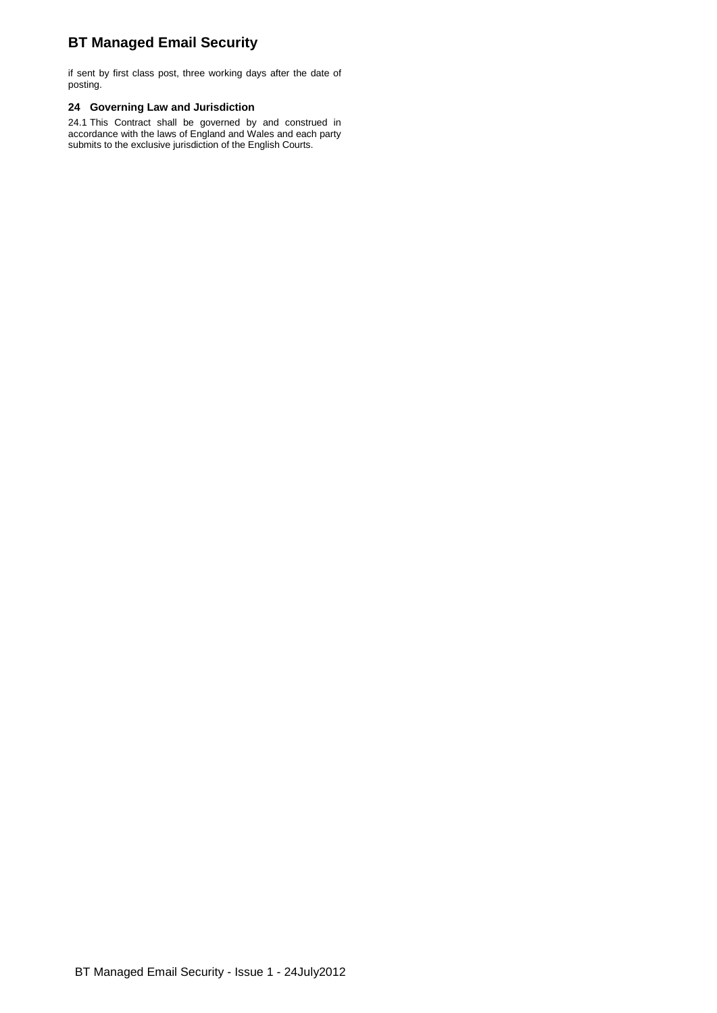if sent by first class post, three working days after the date of posting.

#### **24 Governing Law and Jurisdiction**

24.1 This Contract shall be governed by and construed in accordance with the laws of England and Wales and each party submits to the exclusive jurisdiction of the English Courts.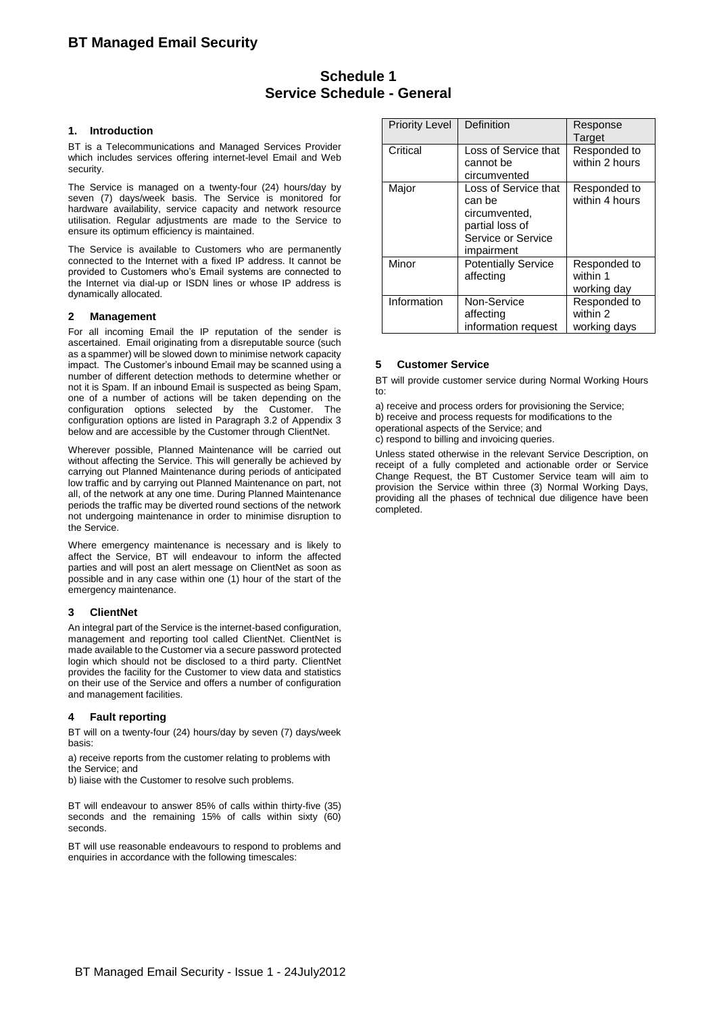## **Schedule 1 Service Schedule - General**

#### **1. Introduction**

BT is a Telecommunications and Managed Services Provider which includes services offering internet-level Email and Web security.

The Service is managed on a twenty-four (24) hours/day by seven (7) days/week basis. The Service is monitored for hardware availability, service capacity and network resource utilisation. Regular adjustments are made to the Service to ensure its optimum efficiency is maintained.

The Service is available to Customers who are permanently connected to the Internet with a fixed IP address. It cannot be provided to Customers who's Email systems are connected to the Internet via dial-up or ISDN lines or whose IP address is dynamically allocated.

#### **2 Management**

For all incoming Email the IP reputation of the sender is ascertained. Email originating from a disreputable source (such as a spammer) will be slowed down to minimise network capacity impact. The Customer's inbound Email may be scanned using a number of different detection methods to determine whether or not it is Spam. If an inbound Email is suspected as being Spam, one of a number of actions will be taken depending on the configuration options selected by the Customer. The configuration options are listed in Paragraph 3.2 of Appendix 3 below and are accessible by the Customer through ClientNet.

Wherever possible, Planned Maintenance will be carried out without affecting the Service. This will generally be achieved by carrying out Planned Maintenance during periods of anticipated low traffic and by carrying out Planned Maintenance on part, not all, of the network at any one time. During Planned Maintenance periods the traffic may be diverted round sections of the network not undergoing maintenance in order to minimise disruption to the Service.

Where emergency maintenance is necessary and is likely to affect the Service, BT will endeavour to inform the affected parties and will post an alert message on ClientNet as soon as possible and in any case within one (1) hour of the start of the emergency maintenance.

#### **3 ClientNet**

An integral part of the Service is the internet-based configuration, management and reporting tool called ClientNet. ClientNet is made available to the Customer via a secure password protected login which should not be disclosed to a third party. ClientNet provides the facility for the Customer to view data and statistics on their use of the Service and offers a number of configuration and management facilities.

#### **4 Fault reporting**

BT will on a twenty-four (24) hours/day by seven (7) days/week basis:

a) receive reports from the customer relating to problems with the Service; and

b) liaise with the Customer to resolve such problems.

BT will endeavour to answer 85% of calls within thirty-five (35) seconds and the remaining 15% of calls within sixty (60) seconds.

BT will use reasonable endeavours to respond to problems and enquiries in accordance with the following timescales:

| <b>Priority Level</b> | Definition                                                                                             | Response<br>Target                       |
|-----------------------|--------------------------------------------------------------------------------------------------------|------------------------------------------|
| Critical              | Loss of Service that<br>cannot be<br>circumvented                                                      | Responded to<br>within 2 hours           |
| Major                 | Loss of Service that<br>can be<br>circumvented,<br>partial loss of<br>Service or Service<br>impairment | Responded to<br>within 4 hours           |
| Minor                 | <b>Potentially Service</b><br>affecting                                                                | Responded to<br>within 1<br>working day  |
| Information           | Non-Service<br>affecting<br>information request                                                        | Responded to<br>within 2<br>working days |

#### **5 Customer Service**

BT will provide customer service during Normal Working Hours to:

a) receive and process orders for provisioning the Service; b) receive and process requests for modifications to the operational aspects of the Service; and c) respond to billing and invoicing queries.

Unless stated otherwise in the relevant Service Description, on receipt of a fully completed and actionable order or Service Change Request, the BT Customer Service team will aim to provision the Service within three (3) Normal Working Days, providing all the phases of technical due diligence have been completed.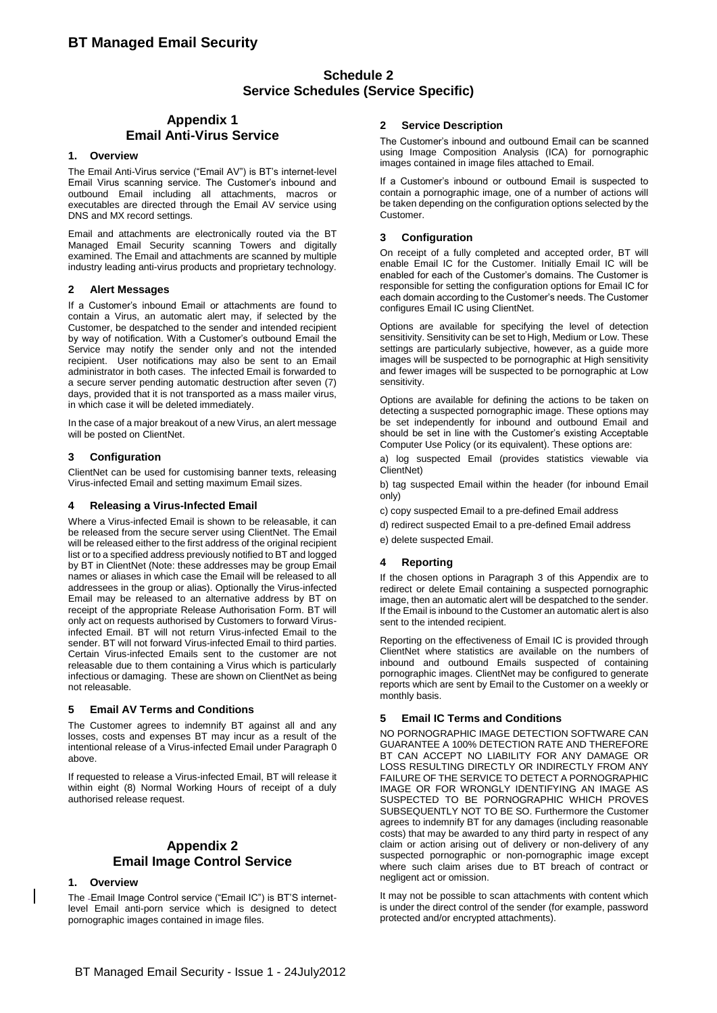## **Schedule 2 Service Schedules (Service Specific)**

### **Appendix 1 Email Anti-Virus Service**

#### **1. Overview**

The Email Anti-Virus service ("Email AV") is BT's internet-level Email Virus scanning service. The Customer's inbound and outbound Email including all attachments, macros or executables are directed through the Email AV service using DNS and MX record settings.

Email and attachments are electronically routed via the BT Managed Email Security scanning Towers and digitally examined. The Email and attachments are scanned by multiple industry leading anti-virus products and proprietary technology.

#### **2 Alert Messages**

If a Customer's inbound Email or attachments are found to contain a Virus, an automatic alert may, if selected by the Customer, be despatched to the sender and intended recipient by way of notification. With a Customer's outbound Email the Service may notify the sender only and not the intended recipient. User notifications may also be sent to an Email administrator in both cases. The infected Email is forwarded to a secure server pending automatic destruction after seven (7) days, provided that it is not transported as a mass mailer virus, in which case it will be deleted immediately.

In the case of a major breakout of a new Virus, an alert message will be posted on ClientNet.

#### **3 Configuration**

ClientNet can be used for customising banner texts, releasing Virus-infected Email and setting maximum Email sizes.

#### **4 Releasing a Virus-Infected Email**

<span id="page-7-0"></span>Where a Virus-infected Email is shown to be releasable, it can be released from the secure server using ClientNet. The Email will be released either to the first address of the original recipient list or to a specified address previously notified to BT and logged by BT in ClientNet (Note: these addresses may be group Email names or aliases in which case the Email will be released to all addressees in the group or alias). Optionally the Virus-infected Email may be released to an alternative address by BT on receipt of the appropriate Release Authorisation Form. BT will only act on requests authorised by Customers to forward Virusinfected Email. BT will not return Virus-infected Email to the sender. BT will not forward Virus-infected Email to third parties. Certain Virus-infected Emails sent to the customer are not releasable due to them containing a Virus which is particularly infectious or damaging. These are shown on ClientNet as being not releasable.

#### **5 Email AV Terms and Conditions**

The Customer agrees to indemnify BT against all and any losses, costs and expenses BT may incur as a result of the intentional release of a Virus-infected Email under Paragraph [0](#page-7-0)  [above.](#page-7-0)

If requested to release a Virus-infected Email, BT will release it within eight (8) Normal Working Hours of receipt of a duly authorised release request.

### **Appendix 2 Email Image Control Service**

#### **1. Overview**

The Email Image Control service ("Email IC") is BT'S internetlevel Email anti-porn service which is designed to detect pornographic images contained in image files.

#### **2 Service Description**

The Customer's inbound and outbound Email can be scanned using Image Composition Analysis (ICA) for pornographic images contained in image files attached to Email.

If a Customer's inbound or outbound Email is suspected to contain a pornographic image, one of a number of actions will be taken depending on the configuration options selected by the Customer.

#### **3 Configuration**

On receipt of a fully completed and accepted order, BT will enable Email IC for the Customer. Initially Email IC will be enabled for each of the Customer's domains. The Customer is responsible for setting the configuration options for Email IC for each domain according to the Customer's needs. The Customer configures Email IC using ClientNet.

Options are available for specifying the level of detection sensitivity. Sensitivity can be set to High, Medium or Low. These settings are particularly subjective, however, as a guide more images will be suspected to be pornographic at High sensitivity and fewer images will be suspected to be pornographic at Low sensitivity.

Options are available for defining the actions to be taken on detecting a suspected pornographic image. These options may be set independently for inbound and outbound Email and should be set in line with the Customer's existing Acceptable Computer Use Policy (or its equivalent). These options are:

a) log suspected Email (provides statistics viewable via ClientNet)

b) tag suspected Email within the header (for inbound Email only)

c) copy suspected Email to a pre-defined Email address

d) redirect suspected Email to a pre-defined Email address

e) delete suspected Email.

#### **4 Reporting**

If the chosen options in Paragraph 3 of this Appendix are to redirect or delete Email containing a suspected pornographic image, then an automatic alert will be despatched to the sender. If the Email is inbound to the Customer an automatic alert is also sent to the intended recipient.

Reporting on the effectiveness of Email IC is provided through ClientNet where statistics are available on the numbers of inbound and outbound Emails suspected of containing pornographic images. ClientNet may be configured to generate reports which are sent by Email to the Customer on a weekly or monthly basis.

#### **5 Email IC Terms and Conditions**

NO PORNOGRAPHIC IMAGE DETECTION SOFTWARE CAN GUARANTEE A 100% DETECTION RATE AND THEREFORE BT CAN ACCEPT NO LIABILITY FOR ANY DAMAGE OR LOSS RESULTING DIRECTLY OR INDIRECTLY FROM ANY FAILURE OF THE SERVICE TO DETECT A PORNOGRAPHIC IMAGE OR FOR WRONGLY IDENTIFYING AN IMAGE AS SUSPECTED TO BE PORNOGRAPHIC WHICH PROVES SUBSEQUENTLY NOT TO BE SO. Furthermore the Customer agrees to indemnify BT for any damages (including reasonable costs) that may be awarded to any third party in respect of any claim or action arising out of delivery or non-delivery of any suspected pornographic or non-pornographic image except where such claim arises due to BT breach of contract or negligent act or omission.

It may not be possible to scan attachments with content which is under the direct control of the sender (for example, password protected and/or encrypted attachments).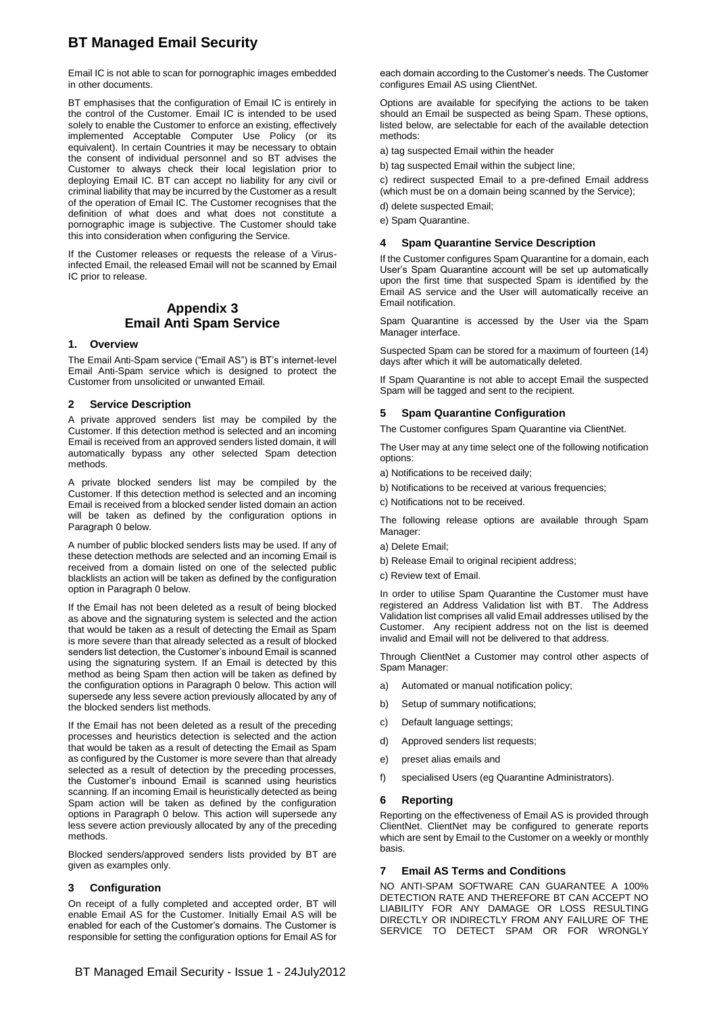Email IC is not able to scan for pornographic images embedded in other documents.

BT emphasises that the configuration of Email IC is entirely in the control of the Customer. Email IC is intended to be used solely to enable the Customer to enforce an existing, effectively implemented Acceptable Computer Use Policy (or its equivalent). In certain Countries it may be necessary to obtain the consent of individual personnel and so BT advises the Customer to always check their local legislation prior to deploying Email IC. BT can accept no liability for any civil or criminal liability that may be incurred by the Customer as a result of the operation of Email IC. The Customer recognises that the definition of what does and what does not constitute a pornographic image is subjective. The Customer should take this into consideration when configuring the Service.

If the Customer releases or requests the release of a Virusinfected Email, the released Email will not be scanned by Email IC prior to release.

### **Appendix 3 Email Anti Spam Service**

#### **1. Overview**

The Email Anti-Spam service ("Email AS") is BT's internet-level Email Anti-Spam service which is designed to protect the Customer from unsolicited or unwanted Email.

#### **2 Service Description**

A private approved senders list may be compiled by the Customer. If this detection method is selected and an incoming Email is received from an approved senders listed domain, it will automatically bypass any other selected Spam detection methods.

A private blocked senders list may be compiled by the Customer. If this detection method is selected and an incoming Email is received from a blocked sender listed domain an action will be taken as defined by the configuration options in Paragraph [0 below.](#page-8-0)

A number of public blocked senders lists may be used. If any of these detection methods are selected and an incoming Email is received from a domain listed on one of the selected public blacklists an action will be taken as defined by the configuration option in Paragrap[h 0 below.](#page-8-0)

If the Email has not been deleted as a result of being blocked as above and the signaturing system is selected and the action that would be taken as a result of detecting the Email as Spam is more severe than that already selected as a result of blocked senders list detection, the Customer's inbound Email is scanned using the signaturing system. If an Email is detected by this method as being Spam then action will be taken as defined by the configuration options in Paragraph [0 below.](#page-8-0) This action will supersede any less severe action previously allocated by any of the blocked senders list methods.

If the Email has not been deleted as a result of the preceding processes and heuristics detection is selected and the action that would be taken as a result of detecting the Email as Spam as configured by the Customer is more severe than that already selected as a result of detection by the preceding processes, the Customer's inbound Email is scanned using heuristics scanning. If an incoming Email is heuristically detected as being Spam action will be taken as defined by the configuration options in Paragraph [0 below.](#page-8-0) This action will supersede any less severe action previously allocated by any of the preceding methods.

Blocked senders/approved senders lists provided by BT are given as examples only.

### **3 Configuration**

On receipt of a fully completed and accepted order, BT will enable Email AS for the Customer. Initially Email AS will be enabled for each of the Customer's domains. The Customer is responsible for setting the configuration options for Email AS for each domain according to the Customer's needs. The Customer configures Email AS using ClientNet.

<span id="page-8-0"></span>Options are available for specifying the actions to be taken should an Email be suspected as being Spam. These options, listed below, are selectable for each of the available detection methods:

a) tag suspected Email within the header

b) tag suspected Email within the subject line;

c) redirect suspected Email to a pre-defined Email address (which must be on a domain being scanned by the Service);

d) delete suspected Email; e) Spam Quarantine.

#### **4 Spam Quarantine Service Description**

If the Customer configures Spam Quarantine for a domain, each User's Spam Quarantine account will be set up automatically upon the first time that suspected Spam is identified by the Email AS service and the User will automatically receive an Email notification.

Spam Quarantine is accessed by the User via the Spam Manager interface.

Suspected Spam can be stored for a maximum of fourteen (14) days after which it will be automatically deleted.

If Spam Quarantine is not able to accept Email the suspected Spam will be tagged and sent to the recipient.

#### **5 Spam Quarantine Configuration**

The Customer configures Spam Quarantine via ClientNet.

The User may at any time select one of the following notification options:

- a) Notifications to be received daily;
- b) Notifications to be received at various frequencies;
- c) Notifications not to be received.

The following release options are available through Spam Manager:

- a) Delete Email;
- b) Release Email to original recipient address;
- c) Review text of Email.

In order to utilise Spam Quarantine the Customer must have registered an Address Validation list with BT. The Address Validation list comprises all valid Email addresses utilised by the Customer. Any recipient address not on the list is deemed invalid and Email will not be delivered to that address.

Through ClientNet a Customer may control other aspects of Spam Manager:

- a) Automated or manual notification policy;
- b) Setup of summary notifications;
- c) Default language settings;
- d) Approved senders list requests;
- e) preset alias emails and
- f) specialised Users (eg Quarantine Administrators).

#### **6 Reporting**

Reporting on the effectiveness of Email AS is provided through ClientNet. ClientNet may be configured to generate reports which are sent by Email to the Customer on a weekly or monthly basis.

#### **7 Email AS Terms and Conditions**

NO ANTI-SPAM SOFTWARE CAN GUARANTEE A 100% DETECTION RATE AND THEREFORE BT CAN ACCEPT NO LIABILITY FOR ANY DAMAGE OR LOSS RESULTING DIRECTLY OR INDIRECTLY FROM ANY FAILURE OF THE SERVICE TO DETECT SPAM OR FOR WRONGLY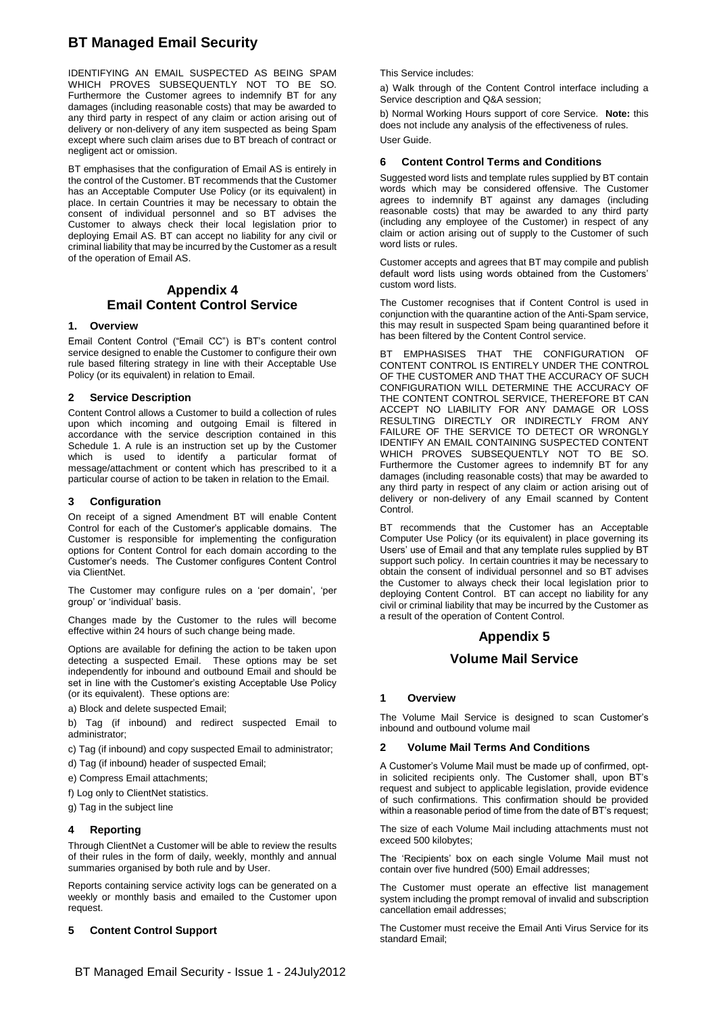IDENTIFYING AN EMAIL SUSPECTED AS BEING SPAM WHICH PROVES SUBSEQUENTLY NOT TO BE SO. Furthermore the Customer agrees to indemnify BT for any damages (including reasonable costs) that may be awarded to any third party in respect of any claim or action arising out of delivery or non-delivery of any item suspected as being Spam except where such claim arises due to BT breach of contract or negligent act or omission.

BT emphasises that the configuration of Email AS is entirely in the control of the Customer. BT recommends that the Customer has an Acceptable Computer Use Policy (or its equivalent) in place. In certain Countries it may be necessary to obtain the consent of individual personnel and so BT advises the Customer to always check their local legislation prior to deploying Email AS. BT can accept no liability for any civil or criminal liability that may be incurred by the Customer as a result of the operation of Email AS.

### **Appendix 4 Email Content Control Service**

#### **1. Overview**

Email Content Control ("Email CC") is BT's content control service designed to enable the Customer to configure their own rule based filtering strategy in line with their Acceptable Use Policy (or its equivalent) in relation to Email.

#### **2 Service Description**

Content Control allows a Customer to build a collection of rules upon which incoming and outgoing Email is filtered in accordance with the service description contained in this Schedule 1. A rule is an instruction set up by the Customer which is used to identify a particular format of message/attachment or content which has prescribed to it a particular course of action to be taken in relation to the Email.

#### **3 Configuration**

On receipt of a signed Amendment BT will enable Content Control for each of the Customer's applicable domains. The Customer is responsible for implementing the configuration options for Content Control for each domain according to the Customer's needs. The Customer configures Content Control via ClientNet.

The Customer may configure rules on a 'per domain', 'per group' or 'individual' basis.

Changes made by the Customer to the rules will become effective within 24 hours of such change being made.

Options are available for defining the action to be taken upon detecting a suspected Email. These options may be set independently for inbound and outbound Email and should be set in line with the Customer's existing Acceptable Use Policy (or its equivalent). These options are:

a) Block and delete suspected Email;

b) Tag (if inbound) and redirect suspected Email to administrator;

c) Tag (if inbound) and copy suspected Email to administrator;

d) Tag (if inbound) header of suspected Email;

e) Compress Email attachments;

f) Log only to ClientNet statistics.

g) Tag in the subject line

#### **4 Reporting**

Through ClientNet a Customer will be able to review the results of their rules in the form of daily, weekly, monthly and annual summaries organised by both rule and by User.

Reports containing service activity logs can be generated on a weekly or monthly basis and emailed to the Customer upon request.

#### **5 Content Control Support**

This Service includes:

a) Walk through of the Content Control interface including a Service description and Q&A session;

b) Normal Working Hours support of core Service. **Note:** this does not include any analysis of the effectiveness of rules. User Guide.

#### **6 Content Control Terms and Conditions**

Suggested word lists and template rules supplied by BT contain words which may be considered offensive. The Customer agrees to indemnify BT against any damages (including reasonable costs) that may be awarded to any third party (including any employee of the Customer) in respect of any claim or action arising out of supply to the Customer of such word lists or rules.

Customer accepts and agrees that BT may compile and publish default word lists using words obtained from the Customers' custom word lists.

The Customer recognises that if Content Control is used in conjunction with the quarantine action of the Anti-Spam service, this may result in suspected Spam being quarantined before it has been filtered by the Content Control service.

BT EMPHASISES THAT THE CONFIGURATION OF CONTENT CONTROL IS ENTIRELY UNDER THE CONTROL OF THE CUSTOMER AND THAT THE ACCURACY OF SUCH CONFIGURATION WILL DETERMINE THE ACCURACY OF THE CONTENT CONTROL SERVICE, THEREFORE BT CAN ACCEPT NO LIABILITY FOR ANY DAMAGE OR LOSS RESULTING DIRECTLY OR INDIRECTLY FROM ANY FAILURE OF THE SERVICE TO DETECT OR WRONGLY IDENTIFY AN EMAIL CONTAINING SUSPECTED CONTENT WHICH PROVES SUBSEQUENTLY NOT TO BE SO. Furthermore the Customer agrees to indemnify BT for any damages (including reasonable costs) that may be awarded to any third party in respect of any claim or action arising out of delivery or non-delivery of any Email scanned by Content Control.

BT recommends that the Customer has an Acceptable Computer Use Policy (or its equivalent) in place governing its Users' use of Email and that any template rules supplied by BT support such policy. In certain countries it may be necessary to obtain the consent of individual personnel and so BT advises the Customer to always check their local legislation prior to deploying Content Control. BT can accept no liability for any civil or criminal liability that may be incurred by the Customer as a result of the operation of Content Control.

#### **Appendix 5**

#### **Volume Mail Service**

#### **1 Overview**

The Volume Mail Service is designed to scan Customer's inbound and outbound volume mail

#### **2 Volume Mail Terms And Conditions**

A Customer's Volume Mail must be made up of confirmed, optin solicited recipients only. The Customer shall, upon BT's request and subject to applicable legislation, provide evidence of such confirmations. This confirmation should be provided within a reasonable period of time from the date of BT's request;

The size of each Volume Mail including attachments must not exceed 500 kilobytes;

The 'Recipients' box on each single Volume Mail must not contain over five hundred (500) Email addresses;

The Customer must operate an effective list management system including the prompt removal of invalid and subscription cancellation email addresses;

The Customer must receive the Email Anti Virus Service for its standard Email;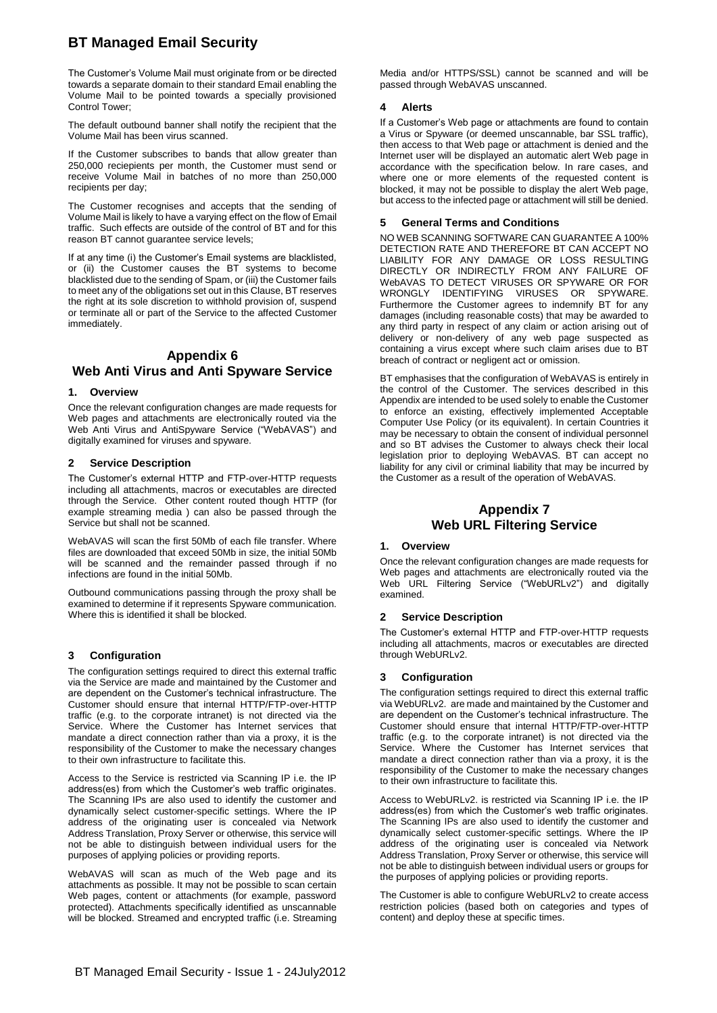The Customer's Volume Mail must originate from or be directed towards a separate domain to their standard Email enabling the Volume Mail to be pointed towards a specially provisioned Control Tower;

The default outbound banner shall notify the recipient that the Volume Mail has been virus scanned.

If the Customer subscribes to bands that allow greater than 250,000 reciepients per month, the Customer must send or receive Volume Mail in batches of no more than 250,000 recipients per day;

The Customer recognises and accepts that the sending of Volume Mail is likely to have a varying effect on the flow of Email traffic. Such effects are outside of the control of BT and for this reason BT cannot guarantee service levels;

If at any time (i) the Customer's Email systems are blacklisted, or (ii) the Customer causes the BT systems to become blacklisted due to the sending of Spam, or (iii) the Customer fails to meet any of the obligations set out in this Clause, BT reserves the right at its sole discretion to withhold provision of, suspend or terminate all or part of the Service to the affected Customer immediately.

## **Appendix 6 Web Anti Virus and Anti Spyware Service**

#### **1. Overview**

Once the relevant configuration changes are made requests for Web pages and attachments are electronically routed via the Web Anti Virus and AntiSpyware Service ("WebAVAS") and digitally examined for viruses and spyware.

#### **2 Service Description**

The Customer's external HTTP and FTP-over-HTTP requests including all attachments, macros or executables are directed through the Service. Other content routed though HTTP (for example streaming media ) can also be passed through the Service but shall not be scanned.

WebAVAS will scan the first 50Mb of each file transfer. Where files are downloaded that exceed 50Mb in size, the initial 50Mb will be scanned and the remainder passed through if no infections are found in the initial 50Mb.

Outbound communications passing through the proxy shall be examined to determine if it represents Spyware communication. Where this is identified it shall be blocked.

#### **3 Configuration**

The configuration settings required to direct this external traffic via the Service are made and maintained by the Customer and are dependent on the Customer's technical infrastructure. The Customer should ensure that internal HTTP/FTP-over-HTTP traffic (e.g. to the corporate intranet) is not directed via the Service. Where the Customer has Internet services that mandate a direct connection rather than via a proxy, it is the responsibility of the Customer to make the necessary changes to their own infrastructure to facilitate this.

Access to the Service is restricted via Scanning IP i.e. the IP address(es) from which the Customer's web traffic originates. The Scanning IPs are also used to identify the customer and dynamically select customer-specific settings. Where the IP address of the originating user is concealed via Network Address Translation, Proxy Server or otherwise, this service will not be able to distinguish between individual users for the purposes of applying policies or providing reports.

WebAVAS will scan as much of the Web page and its attachments as possible. It may not be possible to scan certain Web pages, content or attachments (for example, password protected). Attachments specifically identified as unscannable will be blocked. Streamed and encrypted traffic (i.e. Streaming

Media and/or HTTPS/SSL) cannot be scanned and will be passed through WebAVAS unscanned.

#### **4 Alerts**

If a Customer's Web page or attachments are found to contain a Virus or Spyware (or deemed unscannable, bar SSL traffic), then access to that Web page or attachment is denied and the Internet user will be displayed an automatic alert Web page in accordance with the specification below. In rare cases, and where one or more elements of the requested content is blocked, it may not be possible to display the alert Web page, but access to the infected page or attachment will still be denied.

#### **5 General Terms and Conditions**

NO WEB SCANNING SOFTWARE CAN GUARANTEE A 100% DETECTION RATE AND THEREFORE BT CAN ACCEPT NO LIABILITY FOR ANY DAMAGE OR LOSS RESULTING DIRECTLY OR INDIRECTLY FROM ANY FAILURE OF WebAVAS TO DETECT VIRUSES OR SPYWARE OR FOR WRONGLY IDENTIFYING VIRUSES OR SPYWARE. Furthermore the Customer agrees to indemnify BT for any damages (including reasonable costs) that may be awarded to any third party in respect of any claim or action arising out of delivery or non-delivery of any web page suspected as containing a virus except where such claim arises due to BT breach of contract or negligent act or omission.

BT emphasises that the configuration of WebAVAS is entirely in the control of the Customer. The services described in this Appendix are intended to be used solely to enable the Customer to enforce an existing, effectively implemented Acceptable Computer Use Policy (or its equivalent). In certain Countries it may be necessary to obtain the consent of individual personnel and so BT advises the Customer to always check their local legislation prior to deploying WebAVAS. BT can accept no liability for any civil or criminal liability that may be incurred by the Customer as a result of the operation of WebAVAS.

### **Appendix 7 Web URL Filtering Service**

#### **1. Overview**

Once the relevant configuration changes are made requests for Web pages and attachments are electronically routed via the Web URL Filtering Service ("WebURLv2") and digitally examined.

#### **2 Service Description**

The Customer's external HTTP and FTP-over-HTTP requests including all attachments, macros or executables are directed through WebURLv2.

#### **3 Configuration**

The configuration settings required to direct this external traffic via WebURLv2. are made and maintained by the Customer and are dependent on the Customer's technical infrastructure. The Customer should ensure that internal HTTP/FTP-over-HTTP traffic (e.g. to the corporate intranet) is not directed via the Service. Where the Customer has Internet services that mandate a direct connection rather than via a proxy, it is the responsibility of the Customer to make the necessary changes to their own infrastructure to facilitate this.

Access to WebURLv2. is restricted via Scanning IP i.e. the IP address(es) from which the Customer's web traffic originates. The Scanning IPs are also used to identify the customer and dynamically select customer-specific settings. Where the IP address of the originating user is concealed via Network Address Translation, Proxy Server or otherwise, this service will not be able to distinguish between individual users or groups for the purposes of applying policies or providing reports.

The Customer is able to configure WebURLv2 to create access restriction policies (based both on categories and types of content) and deploy these at specific times.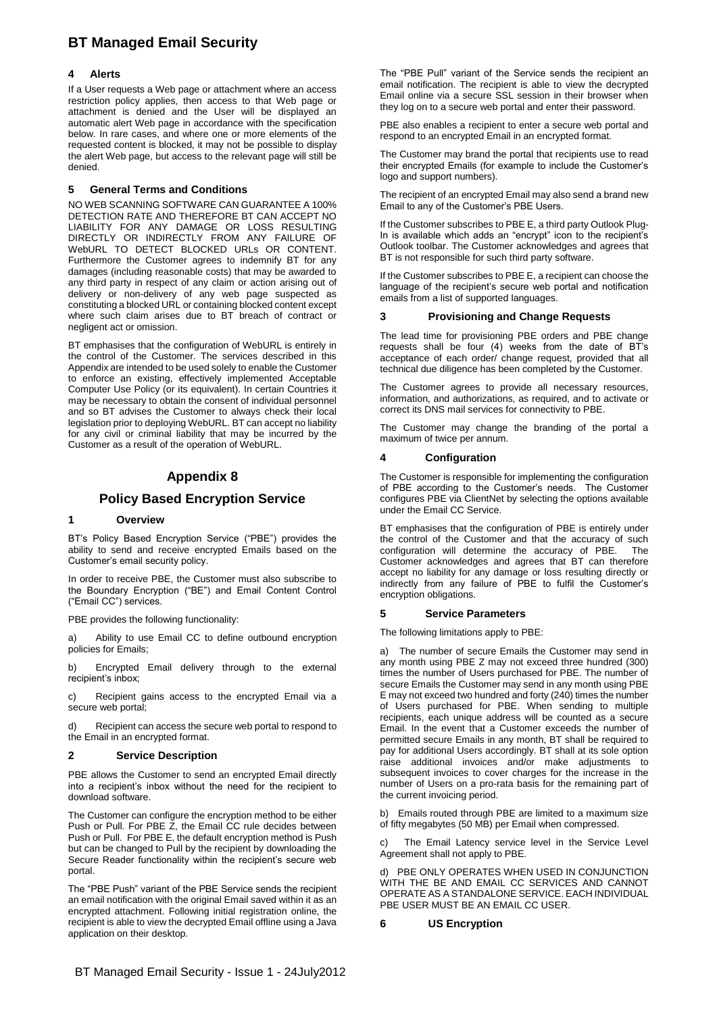#### **4 Alerts**

If a User requests a Web page or attachment where an access restriction policy applies, then access to that Web page or attachment is denied and the User will be displayed an automatic alert Web page in accordance with the specification below. In rare cases, and where one or more elements of the requested content is blocked, it may not be possible to display the alert Web page, but access to the relevant page will still be denied.

#### **5 General Terms and Conditions**

NO WEB SCANNING SOFTWARE CAN GUARANTEE A 100% DETECTION RATE AND THEREFORE BT CAN ACCEPT NO LIABILITY FOR ANY DAMAGE OR LOSS RESULTING DIRECTLY OR INDIRECTLY FROM ANY FAILURE OF WebURL TO DETECT BLOCKED URLs OR CONTENT. Furthermore the Customer agrees to indemnify BT for any damages (including reasonable costs) that may be awarded to any third party in respect of any claim or action arising out of delivery or non-delivery of any web page suspected as constituting a blocked URL or containing blocked content except where such claim arises due to BT breach of contract or negligent act or omission.

BT emphasises that the configuration of WebURL is entirely in the control of the Customer. The services described in this Appendix are intended to be used solely to enable the Customer to enforce an existing, effectively implemented Acceptable Computer Use Policy (or its equivalent). In certain Countries it may be necessary to obtain the consent of individual personnel and so BT advises the Customer to always check their local legislation prior to deploying WebURL. BT can accept no liability for any civil or criminal liability that may be incurred by the Customer as a result of the operation of WebURL.

### **Appendix 8**

### **Policy Based Encryption Service**

#### **1 Overview**

BT's Policy Based Encryption Service ("PBE") provides the ability to send and receive encrypted Emails based on the Customer's email security policy.

In order to receive PBE, the Customer must also subscribe to the Boundary Encryption ("BE") and Email Content Control ("Email CC") services.

PBE provides the following functionality:

a) Ability to use Email CC to define outbound encryption policies for Emails;

b) Encrypted Email delivery through to the external recipient's inbox;

c) Recipient gains access to the encrypted Email via a secure web portal;

d) Recipient can access the secure web portal to respond to the Email in an encrypted format.

#### **2 Service Description**

PBE allows the Customer to send an encrypted Email directly into a recipient's inbox without the need for the recipient to download software.

The Customer can configure the encryption method to be either Push or Pull. For PBE Z, the Email CC rule decides between Push or Pull. For PBE E, the default encryption method is Push but can be changed to Pull by the recipient by downloading the Secure Reader functionality within the recipient's secure web portal.

The "PBE Push" variant of the PBE Service sends the recipient an email notification with the original Email saved within it as an encrypted attachment. Following initial registration online, the recipient is able to view the decrypted Email offline using a Java application on their desktop.

The "PBE Pull" variant of the Service sends the recipient an email notification. The recipient is able to view the decrypted Email online via a secure SSL session in their browser when they log on to a secure web portal and enter their password.

PBE also enables a recipient to enter a secure web portal and respond to an encrypted Email in an encrypted format.

The Customer may brand the portal that recipients use to read their encrypted Emails (for example to include the Customer's logo and support numbers).

The recipient of an encrypted Email may also send a brand new Email to any of the Customer's PBE Users.

If the Customer subscribes to PBE E, a third party Outlook Plug-In is available which adds an "encrypt" icon to the recipient's Outlook toolbar. The Customer acknowledges and agrees that BT is not responsible for such third party software.

If the Customer subscribes to PBE E, a recipient can choose the language of the recipient's secure web portal and notification emails from a list of supported languages.

#### **3 Provisioning and Change Requests**

The lead time for provisioning PBE orders and PBE change requests shall be four (4) weeks from the date of BT's acceptance of each order/ change request, provided that all technical due diligence has been completed by the Customer.

The Customer agrees to provide all necessary resources, information, and authorizations, as required, and to activate or correct its DNS mail services for connectivity to PBE.

The Customer may change the branding of the portal a maximum of twice per annum.

#### **4 Configuration**

The Customer is responsible for implementing the configuration of PBE according to the Customer's needs. The Customer configures PBE via ClientNet by selecting the options available under the Email CC Service.

BT emphasises that the configuration of PBE is entirely under the control of the Customer and that the accuracy of such configuration will determine the accuracy of PBE. The Customer acknowledges and agrees that BT can therefore accept no liability for any damage or loss resulting directly or indirectly from any failure of PBE to fulfil the Customer's encryption obligations.

#### **5 Service Parameters**

The following limitations apply to PBE:

a) The number of secure Emails the Customer may send in any month using PBE Z may not exceed three hundred (300) times the number of Users purchased for PBE. The number of secure Emails the Customer may send in any month using PBE E may not exceed two hundred and forty (240) times the number of Users purchased for PBE. When sending to multiple recipients, each unique address will be counted as a secure Email. In the event that a Customer exceeds the number of permitted secure Emails in any month, BT shall be required to pay for additional Users accordingly. BT shall at its sole option raise additional invoices and/or make adjustments to subsequent invoices to cover charges for the increase in the number of Users on a pro-rata basis for the remaining part of the current invoicing period.

b) Emails routed through PBE are limited to a maximum size of fifty megabytes (50 MB) per Email when compressed.

The Email Latency service level in the Service Level Agreement shall not apply to PBE.

d) PBE ONLY OPERATES WHEN USED IN CONJUNCTION WITH THE BE AND EMAIL CC SERVICES AND CANNOT OPERATE AS A STANDALONE SERVICE. EACH INDIVIDUAL PBE USER MUST BE AN EMAIL CC USER.

**6 US Encryption**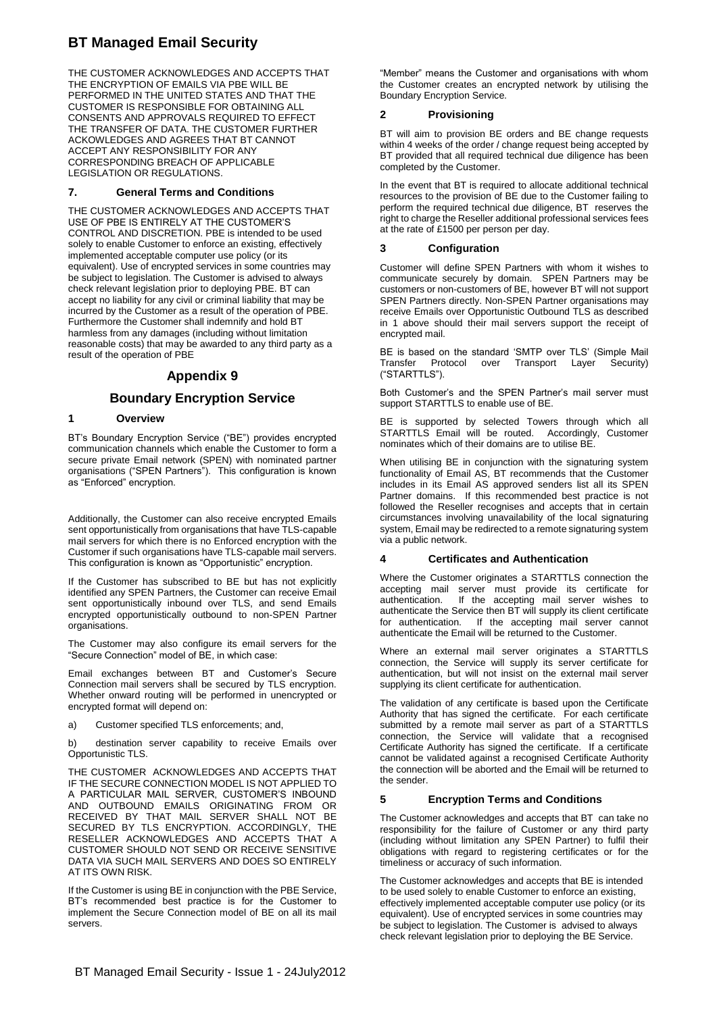THE CUSTOMER ACKNOWLEDGES AND ACCEPTS THAT THE ENCRYPTION OF EMAILS VIA PBE WILL BE PERFORMED IN THE UNITED STATES AND THAT THE CUSTOMER IS RESPONSIBLE FOR OBTAINING ALL CONSENTS AND APPROVALS REQUIRED TO EFFECT THE TRANSFER OF DATA. THE CUSTOMER FURTHER ACKOWLEDGES AND AGREES THAT BT CANNOT ACCEPT ANY RESPONSIBILITY FOR ANY CORRESPONDING BREACH OF APPLICABLE LEGISLATION OR REGULATIONS.

#### **7. General Terms and Conditions**

THE CUSTOMER ACKNOWLEDGES AND ACCEPTS THAT USE OF PBE IS ENTIRELY AT THE CUSTOMER'S CONTROL AND DISCRETION. PBE is intended to be used solely to enable Customer to enforce an existing, effectively implemented acceptable computer use policy (or its equivalent). Use of encrypted services in some countries may be subject to legislation. The Customer is advised to always check relevant legislation prior to deploying PBE. BT can accept no liability for any civil or criminal liability that may be incurred by the Customer as a result of the operation of PBE. Furthermore the Customer shall indemnify and hold BT harmless from any damages (including without limitation reasonable costs) that may be awarded to any third party as a result of the operation of PBE

### **Appendix 9**

### **Boundary Encryption Service**

#### **1 Overview**

BT's Boundary Encryption Service ("BE") provides encrypted communication channels which enable the Customer to form a secure private Email network (SPEN) with nominated partner organisations ("SPEN Partners"). This configuration is known as "Enforced" encryption.

Additionally, the Customer can also receive encrypted Emails sent opportunistically from organisations that have TLS-capable mail servers for which there is no Enforced encryption with the Customer if such organisations have TLS-capable mail servers. This configuration is known as "Opportunistic" encryption.

If the Customer has subscribed to BE but has not explicitly identified any SPEN Partners, the Customer can receive Email sent opportunistically inbound over TLS, and send Emails encrypted opportunistically outbound to non-SPEN Partner organisations.

The Customer may also configure its email servers for the "Secure Connection" model of BE, in which case:

Email exchanges between BT and Customer's Secure Connection mail servers shall be secured by TLS encryption. Whether onward routing will be performed in unencrypted or encrypted format will depend on:

a) Customer specified TLS enforcements; and,

b) destination server capability to receive Emails over Opportunistic TLS.

THE CUSTOMER ACKNOWLEDGES AND ACCEPTS THAT IF THE SECURE CONNECTION MODEL IS NOT APPLIED TO A PARTICULAR MAIL SERVER, CUSTOMER'S INBOUND AND OUTBOUND EMAILS ORIGINATING FROM OR RECEIVED BY THAT MAIL SERVER SHALL NOT BE SECURED BY TLS ENCRYPTION. ACCORDINGLY, THE RESELLER ACKNOWLEDGES AND ACCEPTS THAT A CUSTOMER SHOULD NOT SEND OR RECEIVE SENSITIVE DATA VIA SUCH MAIL SERVERS AND DOES SO ENTIRELY AT ITS OWN RISK.

If the Customer is using BE in conjunction with the PBE Service, BT's recommended best practice is for the Customer to implement the Secure Connection model of BE on all its mail servers.

"Member" means the Customer and organisations with whom the Customer creates an encrypted network by utilising the Boundary Encryption Service.

#### **2 Provisioning**

BT will aim to provision BE orders and BE change requests within 4 weeks of the order / change request being accepted by BT provided that all required technical due diligence has been completed by the Customer.

In the event that BT is required to allocate additional technical resources to the provision of BE due to the Customer failing to perform the required technical due diligence, BT reserves the right to charge the Reseller additional professional services fees at the rate of £1500 per person per day.

#### **3 Configuration**

Customer will define SPEN Partners with whom it wishes to communicate securely by domain. SPEN Partners may be customers or non-customers of BE, however BT will not support SPEN Partners directly. Non-SPEN Partner organisations may receive Emails over Opportunistic Outbound TLS as described in 1 above should their mail servers support the receipt of encrypted mail.

BE is based on the standard 'SMTP over TLS' (Simple Mail Transfer Protocol over Transport Layer Security) ("STARTTLS").

Both Customer's and the SPEN Partner's mail server must support STARTTLS to enable use of BE.

BE is supported by selected Towers through which all STARTTLS Email will be routed. Accordingly, Customer nominates which of their domains are to utilise BE.

When utilising BE in conjunction with the signaturing system functionality of Email AS, BT recommends that the Customer includes in its Email AS approved senders list all its SPEN Partner domains. If this recommended best practice is not followed the Reseller recognises and accepts that in certain circumstances involving unavailability of the local signaturing system, Email may be redirected to a remote signaturing system via a public network.

#### **4 Certificates and Authentication**

Where the Customer originates a STARTTLS connection the accepting mail server must provide its certificate for authentication. If the accepting mail server wishes to authenticate the Service then BT will supply its client certificate for authentication. If the accepting mail server cannot authenticate the Email will be returned to the Customer.

Where an external mail server originates a STARTTLS connection, the Service will supply its server certificate for authentication, but will not insist on the external mail server supplying its client certificate for authentication.

The validation of any certificate is based upon the Certificate Authority that has signed the certificate. For each certificate submitted by a remote mail server as part of a STARTTLS connection, the Service will validate that a recognised Certificate Authority has signed the certificate. If a certificate cannot be validated against a recognised Certificate Authority the connection will be aborted and the Email will be returned to the sender.

#### **5 Encryption Terms and Conditions**

The Customer acknowledges and accepts that BT can take no responsibility for the failure of Customer or any third party (including without limitation any SPEN Partner) to fulfil their obligations with regard to registering certificates or for the timeliness or accuracy of such information.

The Customer acknowledges and accepts that BE is intended to be used solely to enable Customer to enforce an existing, effectively implemented acceptable computer use policy (or its equivalent). Use of encrypted services in some countries may be subject to legislation. The Customer is advised to always check relevant legislation prior to deploying the BE Service.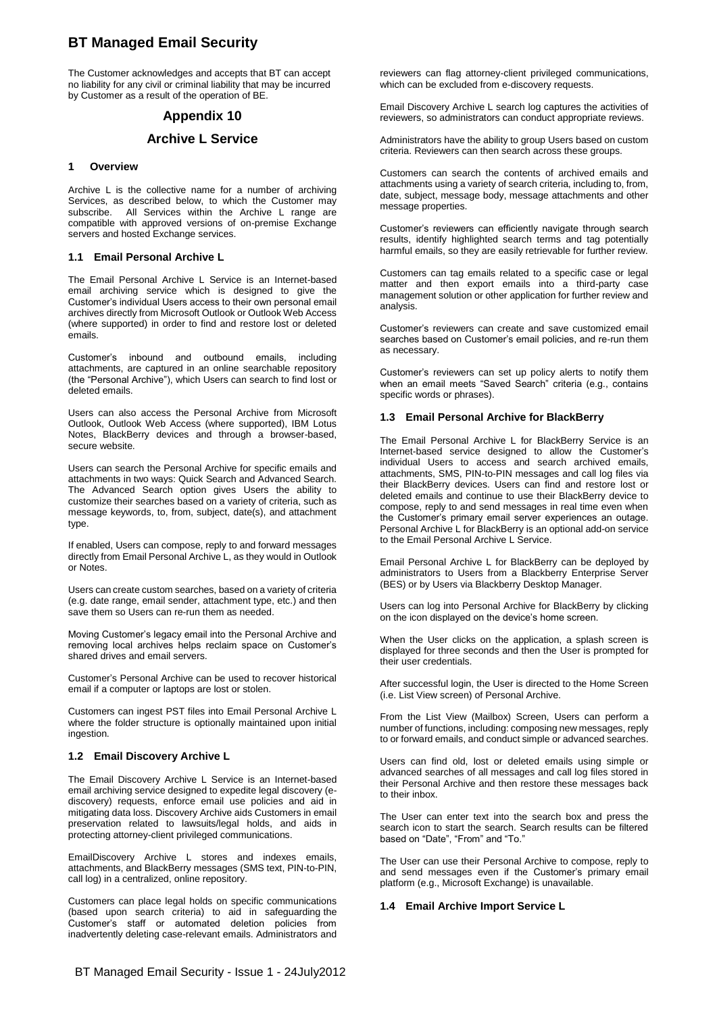The Customer acknowledges and accepts that BT can accept no liability for any civil or criminal liability that may be incurred by Customer as a result of the operation of BE.

### **Appendix 10**

### **Archive L Service**

#### **1 Overview**

Archive L is the collective name for a number of archiving Services, as described below, to which the Customer may subscribe. All Services within the Archive L range are compatible with approved versions of on-premise Exchange servers and hosted Exchange services.

#### **1.1 Email Personal Archive L**

The Email Personal Archive L Service is an Internet-based email archiving service which is designed to give the Customer's individual Users access to their own personal email archives directly from Microsoft Outlook or Outlook Web Access (where supported) in order to find and restore lost or deleted emails.

Customer's inbound and outbound emails, including attachments, are captured in an online searchable repository (the "Personal Archive"), which Users can search to find lost or deleted emails.

Users can also access the Personal Archive from Microsoft Outlook, Outlook Web Access (where supported), IBM Lotus Notes, BlackBerry devices and through a browser-based, secure website.

Users can search the Personal Archive for specific emails and attachments in two ways: Quick Search and Advanced Search. The Advanced Search option gives Users the ability to customize their searches based on a variety of criteria, such as message keywords, to, from, subject, date(s), and attachment type.

If enabled, Users can compose, reply to and forward messages directly from Email Personal Archive L, as they would in Outlook or Notes.

Users can create custom searches, based on a variety of criteria (e.g. date range, email sender, attachment type, etc.) and then save them so Users can re-run them as needed.

Moving Customer's legacy email into the Personal Archive and removing local archives helps reclaim space on Customer's shared drives and email servers.

Customer's Personal Archive can be used to recover historical email if a computer or laptops are lost or stolen.

Customers can ingest PST files into Email Personal Archive L where the folder structure is optionally maintained upon initial ingestion.

#### **1.2 Email Discovery Archive L**

The Email Discovery Archive L Service is an Internet-based email archiving service designed to expedite legal discovery (ediscovery) requests, enforce email use policies and aid in mitigating data loss. Discovery Archive aids Customers in email preservation related to lawsuits/legal holds, and aids in protecting attorney-client privileged communications.

EmailDiscovery Archive L stores and indexes emails, attachments, and BlackBerry messages (SMS text, PIN-to-PIN, call log) in a centralized, online repository.

Customers can place legal holds on specific communications (based upon search criteria) to aid in safeguarding the Customer's staff or automated deletion policies from inadvertently deleting case-relevant emails. Administrators and reviewers can flag attorney-client privileged communications, which can be excluded from e-discovery requests.

Email Discovery Archive L search log captures the activities of reviewers, so administrators can conduct appropriate reviews.

Administrators have the ability to group Users based on custom criteria. Reviewers can then search across these groups.

Customers can search the contents of archived emails and attachments using a variety of search criteria, including to, from, date, subject, message body, message attachments and other message properties.

Customer's reviewers can efficiently navigate through search results, identify highlighted search terms and tag potentially harmful emails, so they are easily retrievable for further review.

Customers can tag emails related to a specific case or legal matter and then export emails into a third-party case management solution or other application for further review and analysis.

Customer's reviewers can create and save customized email searches based on Customer's email policies, and re-run them as necessary.

Customer's reviewers can set up policy alerts to notify them when an email meets "Saved Search" criteria (e.g., contains specific words or phrases).

#### **1.3 Email Personal Archive for BlackBerry**

The Email Personal Archive L for BlackBerry Service is an Internet-based service designed to allow the Customer's individual Users to access and search archived emails, attachments, SMS, PIN-to-PIN messages and call log files via their BlackBerry devices. Users can find and restore lost or deleted emails and continue to use their BlackBerry device to compose, reply to and send messages in real time even when the Customer's primary email server experiences an outage. Personal Archive L for BlackBerry is an optional add-on service to the Email Personal Archive L Service.

Email Personal Archive L for BlackBerry can be deployed by administrators to Users from a Blackberry Enterprise Server (BES) or by Users via Blackberry Desktop Manager.

Users can log into Personal Archive for BlackBerry by clicking on the icon displayed on the device's home screen.

When the User clicks on the application, a splash screen is displayed for three seconds and then the User is prompted for their user credentials.

After successful login, the User is directed to the Home Screen (i.e. List View screen) of Personal Archive.

From the List View (Mailbox) Screen, Users can perform a number of functions, including: composing new messages, reply to or forward emails, and conduct simple or advanced searches.

Users can find old, lost or deleted emails using simple or advanced searches of all messages and call log files stored in their Personal Archive and then restore these messages back to their inbox.

The User can enter text into the search box and press the search icon to start the search. Search results can be filtered based on "Date", "From" and "To."

The User can use their Personal Archive to compose, reply to and send messages even if the Customer's primary email platform (e.g., Microsoft Exchange) is unavailable.

#### **1.4 Email Archive Import Service L**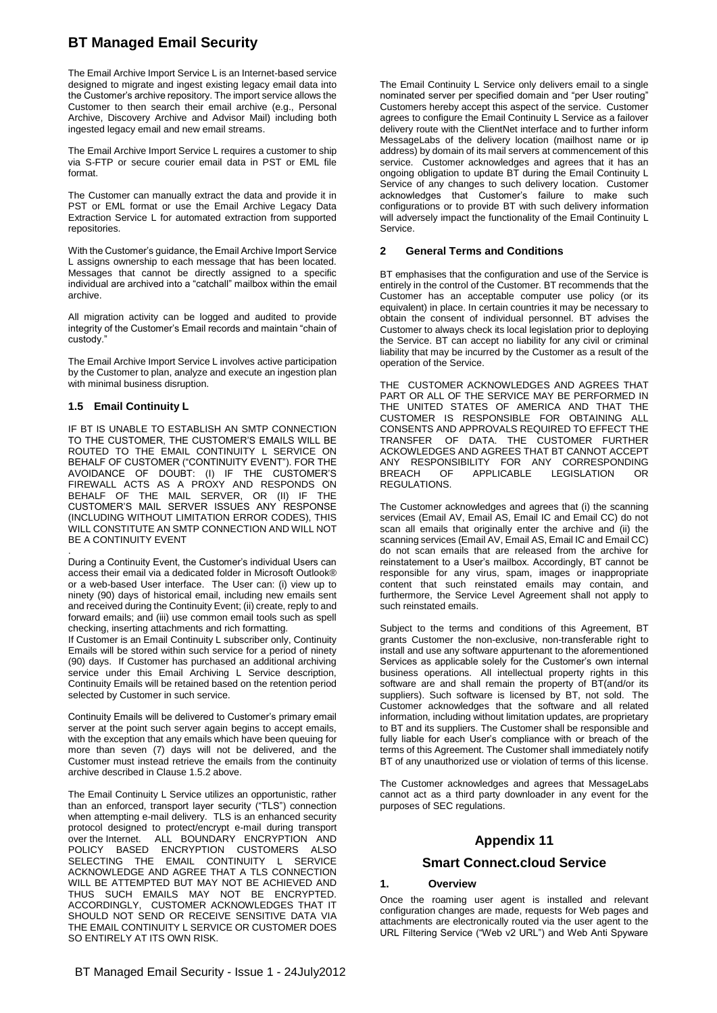The Email Archive Import Service L is an Internet-based service designed to migrate and ingest existing legacy email data into the Customer's archive repository. The import service allows the Customer to then search their email archive (e.g., Personal Archive, Discovery Archive and Advisor Mail) including both ingested legacy email and new email streams.

The Email Archive Import Service L requires a customer to ship via S-FTP or secure courier email data in PST or EML file format.

The Customer can manually extract the data and provide it in PST or EML format or use the Email Archive Legacy Data Extraction Service L for automated extraction from supported repositories.

With the Customer's guidance, the Email Archive Import Service L assigns ownership to each message that has been located. Messages that cannot be directly assigned to a specific individual are archived into a "catchall" mailbox within the email archive.

All migration activity can be logged and audited to provide integrity of the Customer's Email records and maintain "chain of custody."

The Email Archive Import Service L involves active participation by the Customer to plan, analyze and execute an ingestion plan with minimal business disruption.

#### **1.5 Email Continuity L**

IF BT IS UNABLE TO ESTABLISH AN SMTP CONNECTION TO THE CUSTOMER, THE CUSTOMER'S EMAILS WILL BE ROUTED TO THE EMAIL CONTINUITY L SERVICE ON BEHALF OF CUSTOMER ("CONTINUITY EVENT"). FOR THE AVOIDANCE OF DOUBT: (I) IF THE CUSTOMER'S FIREWALL ACTS AS A PROXY AND RESPONDS ON BEHALF OF THE MAIL SERVER, OR (II) IF THE CUSTOMER'S MAIL SERVER ISSUES ANY RESPONSE (INCLUDING WITHOUT LIMITATION ERROR CODES), THIS WILL CONSTITUTE AN SMTP CONNECTION AND WILL NOT BE A CONTINUITY EVENT

. During a Continuity Event, the Customer's individual Users can access their email via a dedicated folder in Microsoft Outlook® or a web-based User interface. The User can: (i) view up to ninety (90) days of historical email, including new emails sent and received during the Continuity Event; (ii) create, reply to and forward emails; and (iii) use common email tools such as spell checking, inserting attachments and rich formatting.

If Customer is an Email Continuity L subscriber only, Continuity Emails will be stored within such service for a period of ninety (90) days. If Customer has purchased an additional archiving service under this Email Archiving L Service description, Continuity Emails will be retained based on the retention period selected by Customer in such service.

Continuity Emails will be delivered to Customer's primary email server at the point such server again begins to accept emails, with the exception that any emails which have been queuing for more than seven (7) days will not be delivered, and the Customer must instead retrieve the emails from the continuity archive described in Clause 1.5.2 above.

The Email Continuity L Service utilizes an opportunistic, rather than an enforced, transport layer security ("TLS") connection when attempting e-mail delivery. TLS is an enhanced security protocol designed to protect/encrypt e-mail during transport over the Internet. ALL BOUNDARY ENCRYPTION AND POLICY BASED ENCRYPTION CUSTOMERS ALSO SELECTING THE EMAIL CONTINUITY L SERVICE ACKNOWLEDGE AND AGREE THAT A TLS CONNECTION WILL BE ATTEMPTED BUT MAY NOT BE ACHIEVED AND THUS SUCH EMAILS MAY NOT BE ENCRYPTED. ACCORDINGLY, CUSTOMER ACKNOWLEDGES THAT IT SHOULD NOT SEND OR RECEIVE SENSITIVE DATA VIA THE EMAIL CONTINUITY L SERVICE OR CUSTOMER DOES SO ENTIRELY AT ITS OWN RISK.

The Email Continuity L Service only delivers email to a single nominated server per specified domain and "per User routing" Customers hereby accept this aspect of the service. Customer agrees to configure the Email Continuity L Service as a failover delivery route with the ClientNet interface and to further inform MessageLabs of the delivery location (mailhost name or ip address) by domain of its mail servers at commencement of this service. Customer acknowledges and agrees that it has an ongoing obligation to update BT during the Email Continuity L Service of any changes to such delivery location. Customer acknowledges that Customer's failure to make such configurations or to provide BT with such delivery information will adversely impact the functionality of the Email Continuity L Service.

#### **2 General Terms and Conditions**

BT emphasises that the configuration and use of the Service is entirely in the control of the Customer. BT recommends that the Customer has an acceptable computer use policy (or its equivalent) in place. In certain countries it may be necessary to obtain the consent of individual personnel. BT advises the Customer to always check its local legislation prior to deploying the Service. BT can accept no liability for any civil or criminal liability that may be incurred by the Customer as a result of the operation of the Service.

THE CUSTOMER ACKNOWLEDGES AND AGREES THAT PART OR ALL OF THE SERVICE MAY BE PERFORMED IN THE UNITED STATES OF AMERICA AND THAT THE CUSTOMER IS RESPONSIBLE FOR OBTAINING ALL CONSENTS AND APPROVALS REQUIRED TO EFFECT THE TRANSFER OF DATA. THE CUSTOMER FURTHER ACKOWLEDGES AND AGREES THAT BT CANNOT ACCEPT ANY RESPONSIBILITY FOR ANY CORRESPONDING<br>BREACH OF APPLICABLE LEGISLATION OR BREACH OF APPLICABLE LEGISLATION OR **REGULATIONS** 

The Customer acknowledges and agrees that (i) the scanning services (Email AV, Email AS, Email IC and Email CC) do not scan all emails that originally enter the archive and (ii) the scanning services (Email AV, Email AS, Email IC and Email CC) do not scan emails that are released from the archive for reinstatement to a User's mailbox. Accordingly, BT cannot be responsible for any virus, spam, images or inappropriate content that such reinstated emails may contain, and furthermore, the Service Level Agreement shall not apply to such reinstated emails.

Subject to the terms and conditions of this Agreement, BT grants Customer the non-exclusive, non-transferable right to install and use any software appurtenant to the aforementioned Services as applicable solely for the Customer's own internal business operations. All intellectual property rights in this software are and shall remain the property of BT(and/or its suppliers). Such software is licensed by BT, not sold. The Customer acknowledges that the software and all related information, including without limitation updates, are proprietary to BT and its suppliers. The Customer shall be responsible and fully liable for each User's compliance with or breach of the terms of this Agreement. The Customer shall immediately notify BT of any unauthorized use or violation of terms of this license.

The Customer acknowledges and agrees that MessageLabs cannot act as a third party downloader in any event for the purposes of SEC regulations.

### **Appendix 11**

#### **Smart Connect.cloud Service**

#### **1. Overview**

Once the roaming user agent is installed and relevant configuration changes are made, requests for Web pages and attachments are electronically routed via the user agent to the URL Filtering Service ("Web v2 URL") and Web Anti Spyware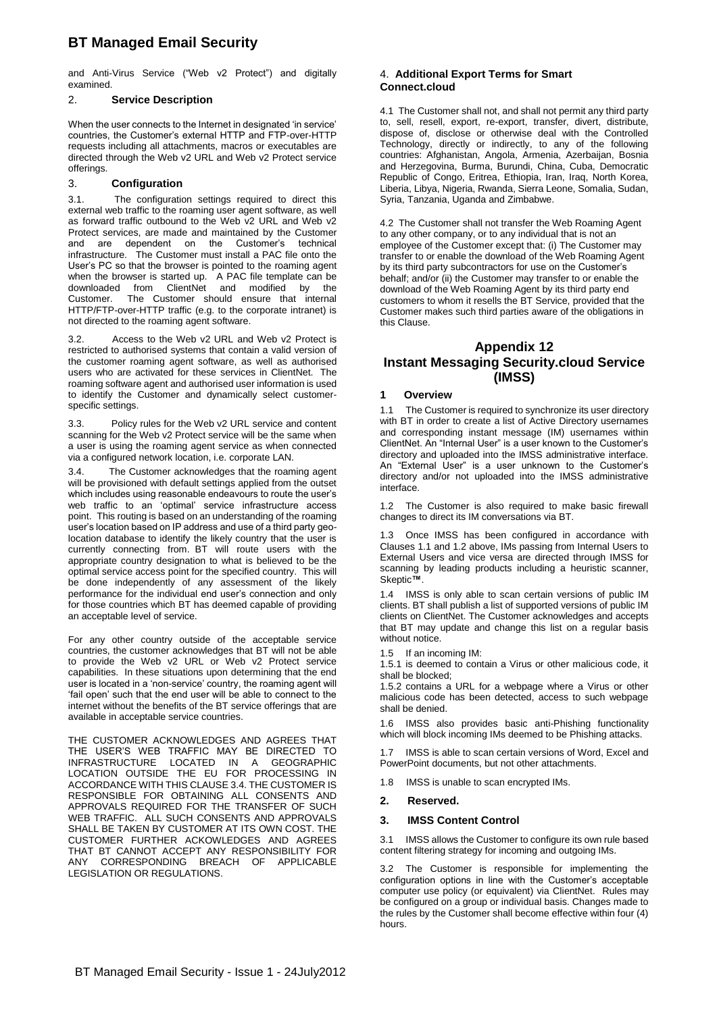and Anti-Virus Service ("Web v2 Protect") and digitally examined.

#### 2. **Service Description**

When the user connects to the Internet in designated 'in service' countries, the Customer's external HTTP and FTP-over-HTTP requests including all attachments, macros or executables are directed through the Web v2 URL and Web v2 Protect service offerings.

#### 3. **Configuration**

3.1. The configuration settings required to direct this external web traffic to the roaming user agent software, as well as forward traffic outbound to the Web v2 URL and Web v2 Protect services, are made and maintained by the Customer and are dependent on the Customer's technical infrastructure. The Customer must install a PAC file onto the User's PC so that the browser is pointed to the roaming agent when the browser is started up. A PAC file template can be downloaded from ClientNet and modified by the Customer. The Customer should ensure that internal HTTP/FTP-over-HTTP traffic (e.g. to the corporate intranet) is not directed to the roaming agent software.

3.2. Access to the Web v2 URL and Web v2 Protect is restricted to authorised systems that contain a valid version of the customer roaming agent software, as well as authorised users who are activated for these services in ClientNet. The roaming software agent and authorised user information is used to identify the Customer and dynamically select customerspecific settings.

Policy rules for the Web v2 URL service and content scanning for the Web v2 Protect service will be the same when a user is using the roaming agent service as when connected via a configured network location, i.e. corporate LAN.

The Customer acknowledges that the roaming agent will be provisioned with default settings applied from the outset which includes using reasonable endeavours to route the user's web traffic to an 'optimal' service infrastructure access point. This routing is based on an understanding of the roaming user's location based on IP address and use of a third party geolocation database to identify the likely country that the user is currently connecting from. BT will route users with the appropriate country designation to what is believed to be the optimal service access point for the specified country. This will be done independently of any assessment of the likely performance for the individual end user's connection and only for those countries which BT has deemed capable of providing an acceptable level of service.

For any other country outside of the acceptable service countries, the customer acknowledges that BT will not be able to provide the Web v2 URL or Web v2 Protect service capabilities. In these situations upon determining that the end user is located in a 'non-service' country, the roaming agent will 'fail open' such that the end user will be able to connect to the internet without the benefits of the BT service offerings that are available in acceptable service countries.

THE CUSTOMER ACKNOWLEDGES AND AGREES THAT THE USER'S WEB TRAFFIC MAY BE DIRECTED TO INFRASTRUCTURE LOCATED IN A GEOGRAPHIC LOCATION OUTSIDE THE EU FOR PROCESSING IN ACCORDANCE WITH THIS CLAUSE 3.4. THE CUSTOMER IS RESPONSIBLE FOR OBTAINING ALL CONSENTS AND APPROVALS REQUIRED FOR THE TRANSFER OF SUCH WEB TRAFFIC. ALL SUCH CONSENTS AND APPROVALS SHALL BE TAKEN BY CUSTOMER AT ITS OWN COST. THE CUSTOMER FURTHER ACKOWLEDGES AND AGREES THAT BT CANNOT ACCEPT ANY RESPONSIBILITY FOR ANY CORRESPONDING BREACH OF APPLICABLE LEGISLATION OR REGULATIONS.

#### 4. **Additional Export Terms for Smart Connect.cloud**

4.1 The Customer shall not, and shall not permit any third party to, sell, resell, export, re-export, transfer, divert, distribute, dispose of, disclose or otherwise deal with the Controlled Technology, directly or indirectly, to any of the following countries: Afghanistan, Angola, Armenia, Azerbaijan, Bosnia and Herzegovina, Burma, Burundi, China, Cuba, Democratic Republic of Congo, Eritrea, Ethiopia, Iran, Iraq, North Korea, Liberia, Libya, Nigeria, Rwanda, Sierra Leone, Somalia, Sudan, Syria, Tanzania, Uganda and Zimbabwe.

4.2 The Customer shall not transfer the Web Roaming Agent to any other company, or to any individual that is not an employee of the Customer except that: (i) The Customer may transfer to or enable the download of the Web Roaming Agent by its third party subcontractors for use on the Customer's behalf; and/or (ii) the Customer may transfer to or enable the download of the Web Roaming Agent by its third party end customers to whom it resells the BT Service, provided that the Customer makes such third parties aware of the obligations in this Clause.

### **Appendix 12 Instant Messaging Security.cloud Service (IMSS)**

#### **1 Overview**

1.1 The Customer is required to synchronize its user directory with BT in order to create a list of Active Directory usernames and corresponding instant message (IM) usernames within ClientNet. An "Internal User" is a user known to the Customer's directory and uploaded into the IMSS administrative interface. An "External User" is a user unknown to the Customer's directory and/or not uploaded into the IMSS administrative interface.

1.2 The Customer is also required to make basic firewall changes to direct its IM conversations via BT.

1.3 Once IMSS has been configured in accordance with Clauses 1.1 and 1.2 above, IMs passing from Internal Users to External Users and vice versa are directed through IMSS for scanning by leading products including a heuristic scanner, Skeptic**™**.

1.4 IMSS is only able to scan certain versions of public IM clients. BT shall publish a list of supported versions of public IM clients on ClientNet. The Customer acknowledges and accepts that BT may update and change this list on a regular basis without notice.

1.5 If an incoming IM:

1.5.1 is deemed to contain a Virus or other malicious code, it shall be blocked;

1.5.2 contains a URL for a webpage where a Virus or other malicious code has been detected, access to such webpage shall be denied.

1.6 IMSS also provides basic anti-Phishing functionality which will block incoming IMs deemed to be Phishing attacks.

IMSS is able to scan certain versions of Word, Excel and PowerPoint documents, but not other attachments.

1.8 IMSS is unable to scan encrypted IMs.

#### **2. Reserved.**

#### **3. IMSS Content Control**

3.1 IMSS allows the Customer to configure its own rule based content filtering strategy for incoming and outgoing IMs.

3.2 The Customer is responsible for implementing the configuration options in line with the Customer's acceptable computer use policy (or equivalent) via ClientNet. Rules may be configured on a group or individual basis. Changes made to the rules by the Customer shall become effective within four (4) hours.